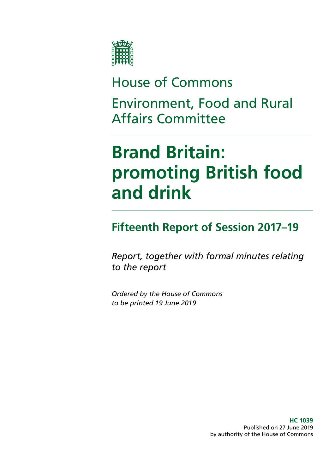

## House of Commons Environment, Food and Rural Affairs Committee

# **Brand Britain: promoting British food and drink**

## **Fifteenth Report of Session 2017–19**

*Report, together with formal minutes relating to the report*

*Ordered by the House of Commons to be printed 19 June 2019*

> **HC 1039** Published on 27 June 2019 by authority of the House of Commons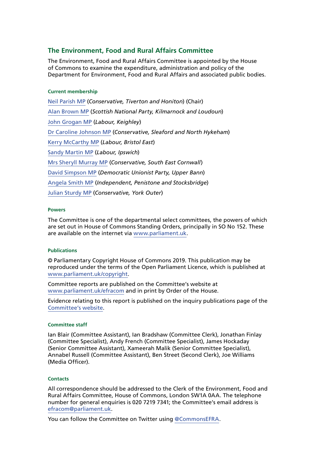### **The Environment, Food and Rural Affairs Committee**

The Environment, Food and Rural Affairs Committee is appointed by the House of Commons to examine the expenditure, administration and policy of the Department for Environment, Food and Rural Affairs and associated public bodies.

#### **Current membership**

[Neil Parish MP](https://www.parliament.uk/biographies/commons/neil-parish/4072) (*Conservative, Tiverton and Honiton*) (Chair) [Alan Brown MP](https://www.parliament.uk/biographies/commons/alan-brown/4470) (*Scottish National Party, Kilmarnock and Loudoun*) [John Grogan MP](https://www.parliament.uk/biographies/commons/john-grogan/382) (*Labour, Keighley*) [Dr Caroline Johnson MP](https://www.parliament.uk/biographies/commons/dr-caroline-johnson/4592) (*Conservative, Sleaford and North Hykeham*) [Kerry McCarthy MP](https://www.parliament.uk/biographies/commons/kerry-mccarthy/1491) (*Labour, Bristol East*) [Sandy Martin MP](https://www.parliament.uk/biographies/commons/sandy-martin/4678) (*Labour, Ipswich*) [Mrs Sheryll Murray MP](https://www.parliament.uk/biographies/commons/mrs-sheryll-murray/4100) (*Conservative, South East Cornwall*) [David Simpson MP](https://www.parliament.uk/biographies/commons/david-simpson/1597) (*Democratic Unionist Party, Upper Bann*) [Angela Smith MP](https://www.parliament.uk/biographies/commons/angela-smith/1564) (*Independent, Penistone and Stocksbridge*) [Julian Sturdy MP](https://www.parliament.uk/biographies/commons/julian-sturdy/4079) (*Conservative, York Outer*)

#### **Powers**

The Committee is one of the departmental select committees, the powers of which are set out in House of Commons Standing Orders, principally in SO No 152. These are available on the internet via [www.parliament.uk.](https://www.parliament.uk/)

#### **Publications**

© Parliamentary Copyright House of Commons 2019. This publication may be reproduced under the terms of the Open Parliament Licence, which is published at [www.parliament.uk/copyright](https://www.parliament.uk/copyright/).

Committee reports are published on the Committee's website at [www.parliament.uk/efracom](https://www.parliament.uk/business/committees/committees-a-z/commons-select/environment-food-and-rural-affairs-committee/) and in print by Order of the House.

Evidence relating to this report is published on the inquiry publications page of the [Committee's website.](https://www.parliament.uk/business/committees/committees-a-z/commons-select/environment-food-and-rural-affairs-committee/inquiries/parliament-2017/brand-britain-17-19/publications/)

#### **Committee staff**

Ian Blair (Committee Assistant), Ian Bradshaw (Committee Clerk), Jonathan Finlay (Committee Specialist), Andy French (Committee Specialist), James Hockaday (Senior Committee Assistant), Xameerah Malik (Senior Committee Specialist), Annabel Russell (Committee Assistant), Ben Street (Second Clerk), Joe Williams (Media Officer).

#### **Contacts**

All correspondence should be addressed to the Clerk of the Environment, Food and Rural Affairs Committee, House of Commons, London SW1A 0AA. The telephone number for general enquiries is 020 7219 7341; the Committee's email address is [efracom@parliament.uk](mailto:efracom%40parliament.uk?subject=).

You can follow the Committee on Twitter using [@Commons](https://twitter.com/CommonsEFRA)EFRA.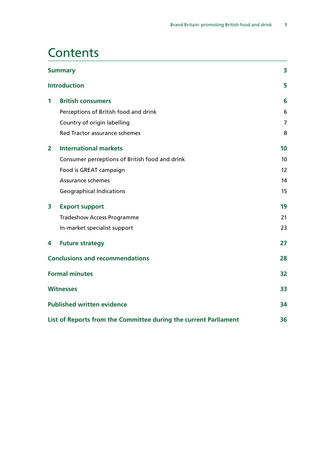### **Contents**

| <b>Summary</b>                         |                                                                  | 3              |
|----------------------------------------|------------------------------------------------------------------|----------------|
|                                        | <b>Introduction</b>                                              | 5              |
| 1                                      | <b>British consumers</b>                                         | 6              |
|                                        | Perceptions of British food and drink                            | 6              |
|                                        | Country of origin labelling                                      | $\overline{7}$ |
|                                        | Red Tractor assurance schemes                                    | 8              |
| $\mathbf{2}$                           | <b>International markets</b>                                     | 10             |
|                                        | Consumer perceptions of British food and drink                   | 10             |
|                                        | Food is GREAT campaign                                           | 12             |
|                                        | Assurance schemes                                                | 14             |
|                                        | <b>Geographical Indications</b>                                  | 15             |
| 3                                      | <b>Export support</b>                                            | 19             |
|                                        | <b>Tradeshow Access Programme</b>                                | 21             |
|                                        | In-market specialist support                                     | 23             |
| 4                                      | <b>Future strategy</b>                                           | 27             |
| <b>Conclusions and recommendations</b> |                                                                  | 28             |
| <b>Formal minutes</b>                  |                                                                  | 32             |
|                                        | <b>Witnesses</b>                                                 | 33             |
|                                        | <b>Published written evidence</b>                                | 34             |
|                                        | List of Reports from the Committee during the current Parliament | 36             |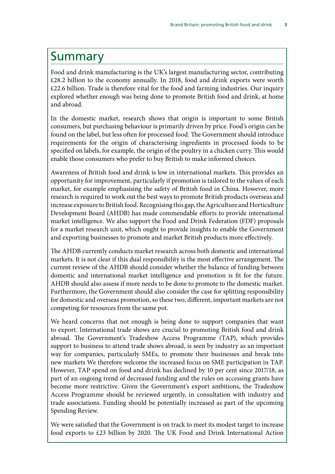### <span id="page-4-0"></span>Summary

Food and drink manufacturing is the UK's largest manufacturing sector, contributing £28.2 billion to the economy annually. In 2018, food and drink exports were worth £22.6 billion. Trade is therefore vital for the food and farming industries. Our inquiry explored whether enough was being done to promote British food and drink, at home and abroad.

In the domestic market, research shows that origin is important to some British consumers, but purchasing behaviour is primarily driven by price. Food's origin can be found on the label, but less often for processed food. The Government should introduce requirements for the origin of characterising ingredients in processed foods to be specified on labels, for example, the origin of the poultry in a chicken curry. This would enable those consumers who prefer to buy British to make informed choices.

Awareness of British food and drink is low in international markets. This provides an opportunity for improvement, particularly if promotion is tailored to the values of each market, for example emphasising the safety of British food in China. However, more research is required to work out the best ways to promote British products overseas and increase exposure to British food. Recognising this gap, the Agriculture and Horticulture Development Board (AHDB) has made commendable efforts to provide international market intelligence. We also support the Food and Drink Federation (FDF) proposals for a market research unit, which ought to provide insights to enable the Government and exporting businesses to promote and market British products more effectively.

The AHDB currently conducts market research across both domestic and international markets. It is not clear if this dual responsibility is the most effective arrangement. The current review of the AHDB should consider whether the balance of funding between domestic and international market intelligence and promotion is fit for the future. AHDB should also assess if more needs to be done to promote to the domestic market. Furthermore, the Government should also consider the case for splitting responsibility for domestic and overseas promotion, so these two, different, important markets are not competing for resources from the same pot.

We heard concerns that not enough is being done to support companies that want to export. International trade shows are crucial to promoting British food and drink abroad. The Government's Tradeshow Access Programme (TAP), which provides support to business to attend trade shows abroad, is seen by industry as an important way for companies, particularly SMEs, to promote their businesses and break into new markets We therefore welcome the increased focus on SME participation in TAP. However, TAP spend on food and drink has declined by 10 per cent since 2017/18, as part of an ongoing trend of decreased funding and the rules on accessing grants have become more restrictive. Given the Government's export ambitions, the Tradeshow Access Programme should be reviewed urgently, in consultation with industry and trade associations. Funding should be potentially increased as part of the upcoming Spending Review.

We were satisfied that the Government is on track to meet its modest target to increase food exports to £23 billion by 2020. The UK Food and Drink International Action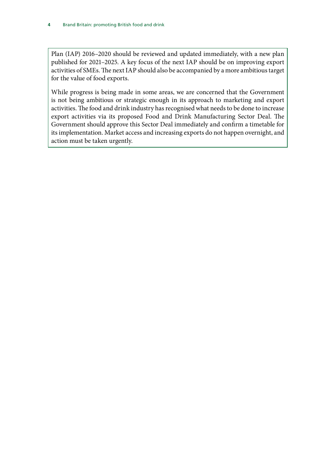Plan (IAP) 2016–2020 should be reviewed and updated immediately, with a new plan published for 2021–2025. A key focus of the next IAP should be on improving export activities of SMEs. The next IAP should also be accompanied by a more ambitious target for the value of food exports.

While progress is being made in some areas, we are concerned that the Government is not being ambitious or strategic enough in its approach to marketing and export activities. The food and drink industry has recognised what needs to be done to increase export activities via its proposed Food and Drink Manufacturing Sector Deal. The Government should approve this Sector Deal immediately and confirm a timetable for its implementation. Market access and increasing exports do not happen overnight, and action must be taken urgently.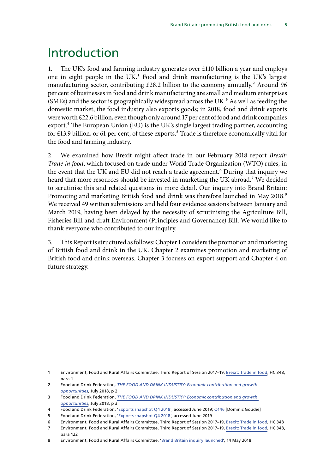### <span id="page-6-0"></span>Introduction

1. The UK's food and farming industry generates over £110 billion a year and employs one in eight people in the UK.<sup>1</sup> Food and drink manufacturing is the UK's largest manufacturing sector, contributing  $£28.2$  billion to the economy annually.<sup>2</sup> Around 96 per cent of businesses in food and drink manufacturing are small and medium enterprises (SMEs) and the sector is geographically widespread across the UK. $<sup>3</sup>$  As well as feeding the</sup> domestic market, the food industry also exports goods; in 2018, food and drink exports were worth £22.6 billion, even though only around 17 per cent of food and drink companies export.<sup>4</sup> The European Union (EU) is the UK's single largest trading partner, accounting for £13.9 billion, or 61 per cent, of these exports.<sup>5</sup> Trade is therefore economically vital for the food and farming industry.

2. We examined how Brexit might affect trade in our February 2018 report *Brexit: Trade in food*, which focused on trade under World Trade Organization (WTO) rules, in the event that the UK and EU did not reach a trade agreement.<sup>6</sup> During that inquiry we heard that more resources should be invested in marketing the UK abroad.<sup>7</sup> We decided to scrutinise this and related questions in more detail. Our inquiry into Brand Britain: Promoting and marketing British food and drink was therefore launched in May 2018.<sup>8</sup> We received 49 written submissions and held four evidence sessions between January and March 2019, having been delayed by the necessity of scrutinising the Agriculture Bill, Fisheries Bill and draft Environment (Principles and Governance) Bill. We would like to thank everyone who contributed to our inquiry.

3. This Report is structured as follows: Chapter 1 considers the promotion and marketing of British food and drink in the UK. Chapter 2 examines promotion and marketing of British food and drink overseas. Chapter 3 focuses on export support and Chapter 4 on future strategy.

<sup>1</sup> Environment, Food and Rural Affairs Committee, Third Report of Session 2017–19, [Brexit: Trade in food](https://publications.parliament.uk/pa/cm201719/cmselect/cmenvfru/348/348.pdf), HC 348, para 1

<sup>2</sup> Food and Drink Federation*, [THE FOOD AND DRINK INDUSTRY: Economic contribution and growth](https://www.fdf.org.uk/publicgeneral/FDF-GT-Exec-Summary.pdf)  [opportunities](https://www.fdf.org.uk/publicgeneral/FDF-GT-Exec-Summary.pdf)*, July 2018, p 2

<sup>3</sup> Food and Drink Federation, *[THE FOOD AND DRINK INDUSTRY: Economic contribution and growth](https://www.fdf.org.uk/publicgeneral/FDF-GT-Exec-Summary.pdf)  [opportunities](https://www.fdf.org.uk/publicgeneral/FDF-GT-Exec-Summary.pdf)*, July 2018, p 3

<sup>4</sup> Food and Drink Federation, ['Exports snapshot Q4 2018',](https://www.fdf.org.uk/exports-2018-q4.aspx) accessed June 2019; [Q146](http://data.parliament.uk/writtenevidence/committeeevidence.svc/evidencedocument/environment-food-and-rural-affairs-committee/brand-britain-promoting-and-marketing-british-food-and-drink/oral/95478.html) [Dominic Goudie]

<sup>5</sup> Food and Drink Federation, ['Exports snapshot Q4 2018',](https://www.fdf.org.uk/exports-2018-q4.aspx) accessed June 2019

<sup>6</sup> Environment, Food and Rural Affairs Committee, Third Report of Session 2017–19, [Brexit: Trade in food](https://publications.parliament.uk/pa/cm201719/cmselect/cmenvfru/348/348.pdf), HC 348

<sup>7</sup> Environment, Food and Rural Affairs Committee, Third Report of Session 2017–19, [Brexit: Trade in food](https://publications.parliament.uk/pa/cm201719/cmselect/cmenvfru/348/348.pdf), HC 348, para 122

<sup>8</sup> Environment, Food and Rural Affairs Committee, '[Brand Britain inquiry launched'](https://www.parliament.uk/business/committees/committees-a-z/commons-select/environment-food-and-rural-affairs-committee/news-parliament-2017/brand-britain-inquiry-launched-17-19/), 14 May 2018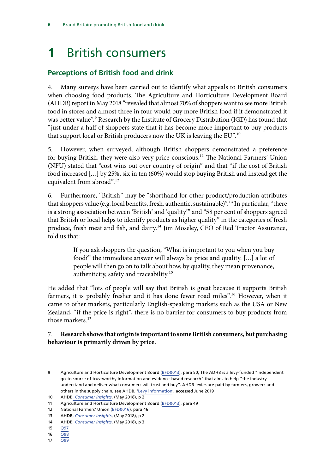## <span id="page-7-0"></span>**1** British consumers

### **Perceptions of British food and drink**

4. Many surveys have been carried out to identify what appeals to British consumers when choosing food products. The Agriculture and Horticulture Development Board (AHDB) report in May 2018 "revealed that almost 70% of shoppers want to see more British food in stores and almost three in four would buy more British food if it demonstrated it was better value".<sup>9</sup> Research by the Institute of Grocery Distribution (IGD) has found that "just under a half of shoppers state that it has become more important to buy products that support local or British producers now the UK is leaving the EU".10

5. However, when surveyed, although British shoppers demonstrated a preference for buying British, they were also very price-conscious.<sup>11</sup> The National Farmers' Union (NFU) stated that "cost wins out over country of origin" and that "if the cost of British food increased […] by 25%, six in ten (60%) would stop buying British and instead get the equivalent from abroad".<sup>12</sup>

6. Furthermore, "British" may be "shorthand for other product/production attributes that shoppers value (e.g. local benefits, fresh, authentic, sustainable)".13 In particular, "there is a strong association between 'British' and 'quality'" and "58 per cent of shoppers agreed that British or local helps to identify products as higher quality" in the categories of fresh produce, fresh meat and fish, and dairy.<sup>14</sup> Jim Moseley, CEO of Red Tractor Assurance, told us that:

> If you ask shoppers the question, "What is important to you when you buy food?" the immediate answer will always be price and quality. […] a lot of people will then go on to talk about how, by quality, they mean provenance, authenticity, safety and traceability.15

He added that "lots of people will say that British is great because it supports British farmers, it is probably fresher and it has done fewer road miles".<sup>16</sup> However, when it came to other markets, particularly English-speaking markets such as the USA or New Zealand, "if the price is right", there is no barrier for consumers to buy products from those markets.<sup>17</sup>

### 7. **Research shows that origin is important to some British consumers, but purchasing behaviour is primarily driven by price.**

17 [Q99](http://data.parliament.uk/writtenevidence/committeeevidence.svc/evidencedocument/environment-food-and-rural-affairs-committee/brand-britain-promoting-and-marketing-british-food-and-drink/oral/95478.html)

<sup>9</sup> Agriculture and Horticulture Development Board ([BFD0013\)](http://data.parliament.uk/writtenevidence/committeeevidence.svc/evidencedocument/environment-food-and-rural-affairs-committee/brand-britain-promoting-and-marketing-british-food-and-drink/written/84571.html), para 50; The ADHB is a levy-funded "independent go-to source of trustworthy information and evidence-based research" that aims to help "the industry understand and deliver what consumers will trust and buy". AHDB levies are paid by farmers, growers and others in the supply chain, see AHDB, ['Levy information'](https://ahdb.org.uk/levy-information), accessed June 2019

<sup>10</sup> AHDB, *[Consumer insights](https://media.ahdb.org.uk/media/Default/Consumer%20and%20Retail%20Insight%20Images/CI_BuyBritish_WEB_2018-05-17a.pdf)*, (May 2018), p 2

<sup>11</sup> Agriculture and Horticulture Development Board ([BFD0013\)](http://data.parliament.uk/writtenevidence/committeeevidence.svc/evidencedocument/environment-food-and-rural-affairs-committee/brand-britain-promoting-and-marketing-british-food-and-drink/written/84571.html), para 49

<sup>12</sup> National Farmers' Union [\(BFD0016](http://data.parliament.uk/writtenevidence/committeeevidence.svc/evidencedocument/environment-food-and-rural-affairs-committee/brand-britain-promoting-and-marketing-british-food-and-drink/written/84592.html)), para 46

<sup>13</sup> AHDB, *[Consumer insights](https://media.ahdb.org.uk/media/Default/Consumer%20and%20Retail%20Insight%20Images/CI_BuyBritish_WEB_2018-05-17a.pdf)*, (May 2018), p 2

<sup>14</sup> AHDB, *[Consumer insights](https://media.ahdb.org.uk/media/Default/Consumer%20and%20Retail%20Insight%20Images/CI_BuyBritish_WEB_2018-05-17a.pdf)*, (May 2018), p 3

<sup>15</sup> [Q97](http://data.parliament.uk/writtenevidence/committeeevidence.svc/evidencedocument/environment-food-and-rural-affairs-committee/brand-britain-promoting-and-marketing-british-food-and-drink/oral/95478.html)

<sup>16</sup> [Q98](http://data.parliament.uk/writtenevidence/committeeevidence.svc/evidencedocument/environment-food-and-rural-affairs-committee/brand-britain-promoting-and-marketing-british-food-and-drink/oral/95478.html)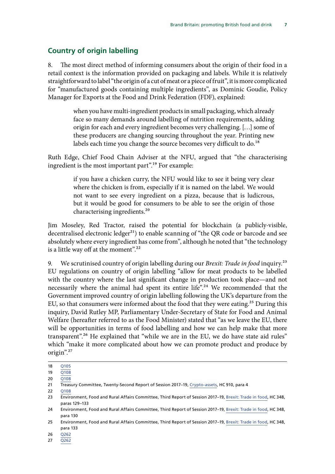### <span id="page-8-0"></span>**Country of origin labelling**

8. The most direct method of informing consumers about the origin of their food in a retail context is the information provided on packaging and labels. While it is relatively straightforward to label "the origin of a cut of meat or a piece of fruit", it is more complicated for "manufactured goods containing multiple ingredients", as Dominic Goudie, Policy Manager for Exports at the Food and Drink Federation (FDF), explained:

> when you have multi-ingredient products in small packaging, which already face so many demands around labelling of nutrition requirements, adding origin for each and every ingredient becomes very challenging. […] some of these producers are changing sourcing throughout the year. Printing new labels each time you change the source becomes very difficult to do.<sup>18</sup>

Ruth Edge, Chief Food Chain Adviser at the NFU, argued that "the characterising ingredient is the most important part".19 For example:

> if you have a chicken curry, the NFU would like to see it being very clear where the chicken is from, especially if it is named on the label. We would not want to see every ingredient on a pizza, because that is ludicrous, but it would be good for consumers to be able to see the origin of those characterising ingredients.20

Jim Moseley, Red Tractor, raised the potential for blockchain (a publicly-visible, decentralised electronic ledger $^{21}$ ) to enable scanning of "the QR code or barcode and see absolutely where every ingredient has come from", although he noted that "the technology is a little way off at the moment".<sup>22</sup>

9. We scrutinised country of origin labelling during our *Brexit: Trade in food* inquiry.23 EU regulations on country of origin labelling "allow for meat products to be labelled with the country where the last significant change in production took place—and not necessarily where the animal had spent its entire life".<sup>24</sup> We recommended that the Government improved country of origin labelling following the UK's departure from the EU, so that consumers were informed about the food that they were eating.<sup>25</sup> During this inquiry, David Rutley MP, Parliamentary Under-Secretary of State for Food and Animal Welfare (hereafter referred to as the Food Minister) stated that "as we leave the EU, there will be opportunities in terms of food labelling and how we can help make that more transparent".26 He explained that "while we are in the EU, we do have state aid rules" which "make it more complicated about how we can promote product and produce by origin".27

26 [Q262](http://data.parliament.uk/writtenevidence/committeeevidence.svc/evidencedocument/environment-food-and-rural-affairs-committee/brand-britain-promoting-and-marketing-british-food-and-drink/oral/98000.html)

<sup>18</sup> [Q105](http://data.parliament.uk/writtenevidence/committeeevidence.svc/evidencedocument/environment-food-and-rural-affairs-committee/brand-britain-promoting-and-marketing-british-food-and-drink/oral/95478.html)

<sup>19</sup> [Q108](http://data.parliament.uk/writtenevidence/committeeevidence.svc/evidencedocument/environment-food-and-rural-affairs-committee/brand-britain-promoting-and-marketing-british-food-and-drink/oral/95478.html)

<sup>20</sup> [Q108](http://data.parliament.uk/writtenevidence/committeeevidence.svc/evidencedocument/environment-food-and-rural-affairs-committee/brand-britain-promoting-and-marketing-british-food-and-drink/oral/95478.html)

<sup>21</sup> Treasury Committee, Twenty-Second Report of Session 2017–19, [Crypto-assets,](https://publications.parliament.uk/pa/cm201719/cmselect/cmtreasy/910/910.pdf) HC 910, para 4

<sup>22</sup> [Q108](http://data.parliament.uk/writtenevidence/committeeevidence.svc/evidencedocument/environment-food-and-rural-affairs-committee/brand-britain-promoting-and-marketing-british-food-and-drink/oral/95478.html)

<sup>23</sup> Environment, Food and Rural Affairs Committee, Third Report of Session 2017–19, [Brexit: Trade in food](https://publications.parliament.uk/pa/cm201719/cmselect/cmenvfru/348/348.pdf), HC 348, paras 129–133

<sup>24</sup> Environment, Food and Rural Affairs Committee, Third Report of Session 2017–19, [Brexit: Trade in food](https://publications.parliament.uk/pa/cm201719/cmselect/cmenvfru/348/348.pdf), HC 348, para 130

<sup>25</sup> Environment, Food and Rural Affairs Committee, Third Report of Session 2017–19, [Brexit: Trade in food](https://publications.parliament.uk/pa/cm201719/cmselect/cmenvfru/348/348.pdf), HC 348, para 133

<sup>27</sup> [Q262](http://data.parliament.uk/writtenevidence/committeeevidence.svc/evidencedocument/environment-food-and-rural-affairs-committee/brand-britain-promoting-and-marketing-british-food-and-drink/oral/98000.html)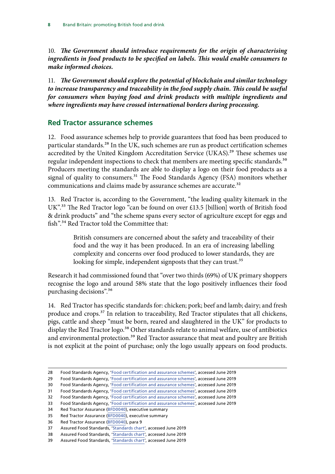<span id="page-9-0"></span>10. *The Government should introduce requirements for the origin of characterising ingredients in food products to be specified on labels. This would enable consumers to make informed choices.*

11. *The Government should explore the potential of blockchain and similar technology to increase transparency and traceability in the food supply chain. This could be useful for consumers when buying food and drink products with multiple ingredients and where ingredients may have crossed international borders during processing.*

### **Red Tractor assurance schemes**

12. Food assurance schemes help to provide guarantees that food has been produced to particular standards.<sup>28</sup> In the UK, such schemes are run as product certification schemes accredited by the United Kingdom Accreditation Service (UKAS).<sup>29</sup> These schemes use regular independent inspections to check that members are meeting specific standards.<sup>30</sup> Producers meeting the standards are able to display a logo on their food products as a signal of quality to consumers.<sup>31</sup> The Food Standards Agency (FSA) monitors whether communications and claims made by assurance schemes are accurate.<sup>32</sup>

13. Red Tractor is, according to the Government, "the leading quality kitemark in the UK".<sup>33</sup> The Red Tractor logo "can be found on over £13.5 [billion] worth of British food & drink products" and "the scheme spans every sector of agriculture except for eggs and fish".<sup>34</sup> Red Tractor told the Committee that:

> British consumers are concerned about the safety and traceability of their food and the way it has been produced. In an era of increasing labelling complexity and concerns over food produced to lower standards, they are looking for simple, independent signposts that they can trust.<sup>35</sup>

Research it had commissioned found that "over two thirds (69%) of UK primary shoppers recognise the logo and around 58% state that the logo positively influences their food purchasing decisions".36

14. Red Tractor has specific standards for: chicken; pork; beef and lamb; dairy; and fresh produce and crops.<sup>37</sup> In relation to traceability, Red Tractor stipulates that all chickens, pigs, cattle and sheep "must be born, reared and slaughtered in the UK" for products to display the Red Tractor logo.<sup>38</sup> Other standards relate to animal welfare, use of antibiotics and environmental protection.<sup>39</sup> Red Tractor assurance that meat and poultry are British is not explicit at the point of purchase; only the logo usually appears on food products.

<sup>28</sup> Food Standards Agency, ['Food certification and assurance schemes'](https://www.gov.uk/guidance/kitemarks-in-farmed-meat-and-produce), accessed June 2019

<sup>29</sup> Food Standards Agency, ['Food certification and assurance schemes'](https://www.gov.uk/guidance/kitemarks-in-farmed-meat-and-produce), accessed June 2019

<sup>30</sup> Food Standards Agency, ['Food certification and assurance schemes'](https://www.gov.uk/guidance/kitemarks-in-farmed-meat-and-produce), accessed June 2019

<sup>31</sup> Food Standards Agency, ['Food certification and assurance schemes'](https://www.gov.uk/guidance/kitemarks-in-farmed-meat-and-produce), accessed June 2019

<sup>32</sup> Food Standards Agency, ['Food certification and assurance schemes'](https://www.gov.uk/guidance/kitemarks-in-farmed-meat-and-produce), accessed June 2019

<sup>33</sup> Food Standards Agency, ['Food certification and assurance schemes'](https://www.gov.uk/guidance/kitemarks-in-farmed-meat-and-produce), accessed June 2019

<sup>34</sup> Red Tractor Assurance [\(BFD0040](http://data.parliament.uk/writtenevidence/committeeevidence.svc/evidencedocument/environment-food-and-rural-affairs-committee/brand-britain-promoting-and-marketing-british-food-and-drink/written/86049.html)), executive summary

<sup>35</sup> Red Tractor Assurance [\(BFD0040](http://data.parliament.uk/writtenevidence/committeeevidence.svc/evidencedocument/environment-food-and-rural-affairs-committee/brand-britain-promoting-and-marketing-british-food-and-drink/written/86049.html)), executive summary

<sup>36</sup> Red Tractor Assurance [\(BFD0040](http://data.parliament.uk/writtenevidence/committeeevidence.svc/evidencedocument/environment-food-and-rural-affairs-committee/brand-britain-promoting-and-marketing-british-food-and-drink/written/86049.html)), para 9

<sup>37</sup> Assured Food Standards, '[Standards chart](https://www.redtractor.org.uk/what-we-do/standards-chart)', accessed June 2019

<sup>38</sup> Assured Food Standards, '[Standards chart](https://www.redtractor.org.uk/what-we-do/standards-chart)', accessed June 2019

<sup>39</sup> Assured Food Standards, '[Standards chart](https://www.redtractor.org.uk/what-we-do/standards-chart)', accessed June 2019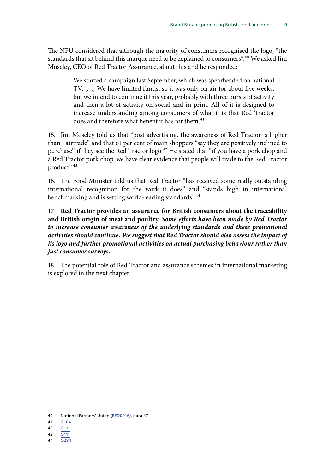The NFU considered that although the majority of consumers recognised the logo, "the standards that sit behind this marque need to be explained to consumers".<sup>40</sup> We asked Jim Moseley, CEO of Red Tractor Assurance, about this and he responded:

> We started a campaign last September, which was spearheaded on national TV. […] We have limited funds, so it was only on air for about five weeks, but we intend to continue it this year, probably with three bursts of activity and then a lot of activity on social and in print. All of it is designed to increase understanding among consumers of what it is that Red Tractor does and therefore what benefit it has for them.<sup>41</sup>

15. Jim Moseley told us that "post advertising, the awareness of Red Tractor is higher than Fairtrade" and that 61 per cent of main shoppers "say they are positively inclined to purchase" if they see the Red Tractor logo.<sup>42</sup> He stated that "if you have a pork chop and a Red Tractor pork chop, we have clear evidence that people will trade to the Red Tractor product".43

16. The Food Minister told us that Red Tractor "has received some really outstanding international recognition for the work it does" and "stands high in international benchmarking and is setting world-leading standards".44

17. **Red Tractor provides an assurance for British consumers about the traceability and British origin of meat and poultry.** *Some efforts have been made by Red Tractor*  to increase consumer awareness of the underlying standards and these promotional *activities should continue. We suggest that Red Tractor should also assess the impact of its logo and further promotional activities on actual purchasing behaviour rather than just consumer surveys.*

18. The potential role of Red Tractor and assurance schemes in international marketing is explored in the next chapter.

<sup>40</sup> National Farmers' Union [\(BFD0016](http://data.parliament.uk/writtenevidence/committeeevidence.svc/evidencedocument/environment-food-and-rural-affairs-committee/brand-britain-promoting-and-marketing-british-food-and-drink/written/84592.html)), para 47

<sup>41</sup> [Q104](http://data.parliament.uk/writtenevidence/committeeevidence.svc/evidencedocument/environment-food-and-rural-affairs-committee/brand-britain-promoting-and-marketing-british-food-and-drink/oral/95478.html)

<sup>42</sup> [Q111](http://data.parliament.uk/writtenevidence/committeeevidence.svc/evidencedocument/environment-food-and-rural-affairs-committee/brand-britain-promoting-and-marketing-british-food-and-drink/oral/95478.html)

<sup>43</sup> [Q111](http://data.parliament.uk/writtenevidence/committeeevidence.svc/evidencedocument/environment-food-and-rural-affairs-committee/brand-britain-promoting-and-marketing-british-food-and-drink/oral/95478.html)

<sup>44</sup> [Q284](http://data.parliament.uk/writtenevidence/committeeevidence.svc/evidencedocument/environment-food-and-rural-affairs-committee/brand-britain-promoting-and-marketing-british-food-and-drink/oral/98000.html)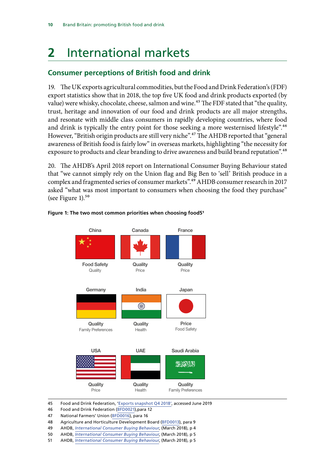## <span id="page-11-0"></span>**2** International markets

### **Consumer perceptions of British food and drink**

19. The UK exports agricultural commodities, but the Food and Drink Federation's (FDF) export statistics show that in 2018, the top five UK food and drink products exported (by value) were whisky, chocolate, cheese, salmon and wine.<sup>45</sup> The FDF stated that "the quality, trust, heritage and innovation of our food and drink products are all major strengths, and resonate with middle class consumers in rapidly developing countries, where food and drink is typically the entry point for those seeking a more westernised lifestyle".<sup>46</sup> However, "British origin products are still very niche".47 The AHDB reported that "general awareness of British food is fairly low" in overseas markets, highlighting "the necessity for exposure to products and clear branding to drive awareness and build brand reputation".<sup>48</sup>

20. The AHDB's April 2018 report on International Consumer Buying Behaviour stated that "we cannot simply rely on the Union flag and Big Ben to 'sell' British produce in a complex and fragmented series of consumer markets".49 AHDB consumer research in 2017 asked "what was most important to consumers when choosing the food they purchase" (see Figure 1). $50$ 



### Figure 1: The two most common priorities when choosing food5<sup>1</sup>

45 Food and Drink Federation, ['Exports snapshot Q4 2018',](https://www.fdf.org.uk/exports-2018-q4.aspx) accessed June 2019

47 National Farmers' Union [\(BFD0016](http://data.parliament.uk/writtenevidence/committeeevidence.svc/evidencedocument/environment-food-and-rural-affairs-committee/brand-britain-promoting-and-marketing-british-food-and-drink/written/84592.html)), para 16 **choosing food**

48 Agriculture and Horticulture Development Board ([BFD0013\)](http://data.parliament.uk/writtenevidence/committeeevidence.svc/evidencedocument/environment-food-and-rural-affairs-committee/brand-britain-promoting-and-marketing-british-food-and-drink/written/84571.html), para 9 retailers, supplying to end consumers, will be looking for

49 AHDB, *[International Consumer Buying Behaviour](https://projectblue.blob.core.windows.net/media/Default/Market%20Insight/Horizon_InterConsumer-march2018.pdf)*, (March 2018), p 4 **Source: AHDB/Red Tractor – ICM International Consumer Perceptions Referend Conducts** 2017

50 AHDB, *[International Consumer Buying Behaviour](https://projectblue.blob.core.windows.net/media/Default/Market%20Insight/Horizon_InterConsumer-march2018.pdf)*, (March 2018), p 5

**Example 3**<br>**S1 AHDB,** *[International Consumer Buying Behaviour](https://projectblue.blob.core.windows.net/media/Default/Market%20Insight/Horizon_InterConsumer-march2018.pdf)*, (March 2018), p 5 **buy,** <u>international consumer</u>

<sup>46</sup> Food and Drink Federation ([BFD0021](http://data.parliament.uk/writtenevidence/committeeevidence.svc/evidencedocument/environment-food-and-rural-affairs-committee/brand-britain-promoting-and-marketing-british-food-and-drink/written/84661.html)),para 12 Figure 2. **The two most common priorities when**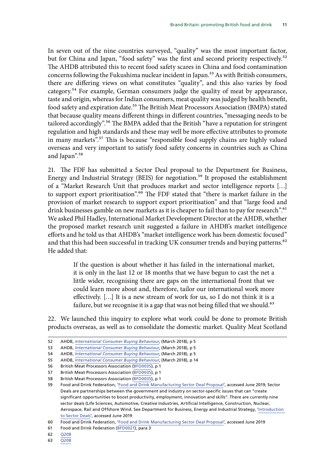In seven out of the nine countries surveyed, "quality" was the most important factor, but for China and Japan, "food safety" was the first and second priority respectively.<sup>52</sup> The AHDB attributed this to recent food safety scares in China and food contamination concerns following the Fukushima nuclear incident in Japan.<sup>53</sup> As with British consumers, there are differing views on what constitutes "quality", and this also varies by food category.54 For example, German consumers judge the quality of meat by appearance, taste and origin, whereas for Indian consumers, meat quality was judged by health benefit, food safety and expiration date.55 The British Meat Processors Association (BMPA) stated that because quality means different things in different countries, "messaging needs to be tailored accordingly".<sup>56</sup> The BMPA added that the British "have a reputation for stringent regulation and high standards and these may well be more effective attributes to promote in many markets".57 This is because "responsible food supply chains are highly valued overseas and very important to satisfy food safety concerns in countries such as China and Japan".<sup>58</sup>

21. The FDF has submitted a Sector Deal proposal to the Department for Business, Energy and Industrial Strategy (BEIS) for negotiation.<sup>59</sup> It proposed the establishment of a "Market Research Unit that produces market and sector intelligence reports […] to support export prioritisation".<sup>60</sup> The FDF stated that "there is market failure in the provision of market research to support export prioritisation" and that "large food and drink businesses gamble on new markets as it is cheaper to fail than to pay for research".<sup>61</sup> We asked Phil Hadley, International Market Development Director at the AHDB, whether the proposed market research unit suggested a failure in AHDB's market intelligence efforts and he told us that AHDB's "market intelligence work has been domestic focused" and that this had been successful in tracking UK consumer trends and buying patterns.<sup>62</sup> He added that:

> If the question is about whether it has failed in the international market, it is only in the last 12 or 18 months that we have begun to cast the net a little wider, recognising there are gaps on the international front that we could learn more about and, therefore, tailor our international work more effectively. […] It is a new stream of work for us, so I do not think it is a failure, but we recognise it is a gap that was not being filled that we should.<sup>63</sup>

22. We launched this inquiry to explore what work could be done to promote British products overseas, as well as to consolidate the domestic market. Quality Meat Scotland

62 [Q208](http://data.parliament.uk/writtenevidence/committeeevidence.svc/evidencedocument/environment-food-and-rural-affairs-committee/brand-britain-promoting-and-marketing-british-food-and-drink/oral/96752.html)

<sup>52</sup> AHDB, *[International Consumer Buying Behaviour](https://projectblue.blob.core.windows.net/media/Default/Market%20Insight/Horizon_InterConsumer-march2018.pdf)*, (March 2018), p 5

<sup>53</sup> AHDB, *[International Consumer Buying Behaviour](https://projectblue.blob.core.windows.net/media/Default/Market%20Insight/Horizon_InterConsumer-march2018.pdf)*, (March 2018), p 5

<sup>54</sup> AHDB, *[International Consumer Buying Behaviour](https://projectblue.blob.core.windows.net/media/Default/Market%20Insight/Horizon_InterConsumer-march2018.pdf)*, (March 2018), p 5

<sup>55</sup> AHDB, *[International Consumer Buying Behaviour](https://projectblue.blob.core.windows.net/media/Default/Market%20Insight/Horizon_InterConsumer-march2018.pdf)*, (March 2018), p 14

<sup>56</sup> British Meat Processors Association ([BFD0035\)](http://data.parliament.uk/writtenevidence/committeeevidence.svc/evidencedocument/environment-food-and-rural-affairs-committee/brand-britain-promoting-and-marketing-british-food-and-drink/written/84809.html), p 1

<sup>57</sup> British Meat Processors Association ([BFD0035\)](http://data.parliament.uk/writtenevidence/committeeevidence.svc/evidencedocument/environment-food-and-rural-affairs-committee/brand-britain-promoting-and-marketing-british-food-and-drink/written/84809.html), p 1

<sup>58</sup> British Meat Processors Association ([BFD0035\)](http://data.parliament.uk/writtenevidence/committeeevidence.svc/evidencedocument/environment-food-and-rural-affairs-committee/brand-britain-promoting-and-marketing-british-food-and-drink/written/84809.html), p 1

<sup>59</sup> Food and Drink Federation, '[Food and Drink Manufacturing Sector Deal Proposal'](https://www.fdf.org.uk/food-and-drink-manufacturing-sector-deal.aspx), accessed June 2019; [Sector](https://www.gov.uk/government/publications/industrial-strategy-sector-deals/introduction-to-sector-deals)  [Deals](https://www.gov.uk/government/publications/industrial-strategy-sector-deals/introduction-to-sector-deals) are partnerships between the government and industry on sector-specific issues that can "create significant opportunities to boost productivity, employment, innovation and skills". There are currently nine sector deals (Life Sciences, Automotive, Creative Industries, Artificial Intelligence, Construction, Nuclear, Aerospace, Rail and Offshore Wind. See Department for Business, Energy and Industrial Strategy, ['Introduction](https://www.gov.uk/government/publications/industrial-strategy-sector-deals/introduction-to-sector-deals)  [to Sector Deals](https://www.gov.uk/government/publications/industrial-strategy-sector-deals/introduction-to-sector-deals)', accessed June 2019

<sup>60</sup> Food and Drink Federation, '[Food and Drink Manufacturing Sector Deal Proposal'](https://www.fdf.org.uk/food-and-drink-manufacturing-sector-deal.aspx), accessed June 2019

<sup>61</sup> Food and Drink Federation ([BFD0021](http://data.parliament.uk/writtenevidence/committeeevidence.svc/evidencedocument/environment-food-and-rural-affairs-committee/brand-britain-promoting-and-marketing-british-food-and-drink/written/84661.html)), para 3

<sup>63</sup> [Q208](http://data.parliament.uk/writtenevidence/committeeevidence.svc/evidencedocument/environment-food-and-rural-affairs-committee/brand-britain-promoting-and-marketing-british-food-and-drink/oral/96752.html)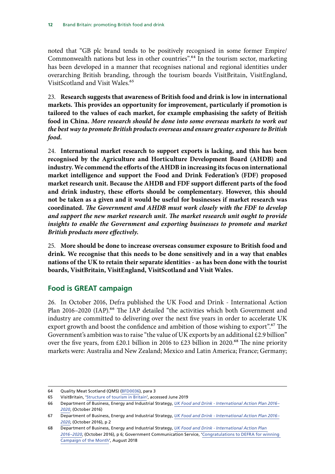<span id="page-13-0"></span>noted that "GB plc brand tends to be positively recognised in some former Empire/ Commonwealth nations but less in other countries".<sup>64</sup> In the tourism sector, marketing has been developed in a manner that recognises national and regional identities under overarching British branding, through the tourism boards VisitBritain, VisitEngland, VisitScotland and Visit Wales.<sup>65</sup>

23. **Research suggests that awareness of British food and drink is low in international markets. This provides an opportunity for improvement, particularly if promotion is tailored to the values of each market, for example emphasising the safety of British food in China.** *More research should be done into some overseas markets to work out the best way to promote British products overseas and ensure greater exposure to British food***.**

24. **International market research to support exports is lacking, and this has been recognised by the Agriculture and Horticulture Development Board (AHDB) and industry. We commend the efforts of the AHDB in increasing its focus on international market intelligence and support the Food and Drink Federation's (FDF) proposed market research unit. Because the AHDB and FDF support different parts of the food and drink industry, these efforts should be complementary. However, this should not be taken as a given and it would be useful for businesses if market research was coordinated.** *T he Government and AHDB must work closely with the FDF to develop and support the new market research unit. The market research unit ought to provide insights to enable the Government and exporting businesses to promote and market British products more effectively.*

25. **More should be done to increase overseas consumer exposure to British food and drink. We recognise that this needs to be done sensitively and in a way that enables nations of the UK to retain their separate identities - as has been done with the tourist boards, VisitBritain, VisitEngland, VisitScotland and Visit Wales.**

### **Food is GREAT campaign**

26. In October 2016, Defra published the UK Food and Drink - International Action Plan 2016-2020 (IAP).<sup>66</sup> The IAP detailed "the activities which both Government and industry are committed to delivering over the next five years in order to accelerate UK export growth and boost the confidence and ambition of those wishing to export".<sup>67</sup> The Government's ambition was to raise "the value of UK exports by an additional £2.9 billion" over the five years, from £20.1 billion in 2016 to £23 billion in 2020.<sup>68</sup> The nine priority markets were: Australia and New Zealand; Mexico and Latin America; France; Germany;

<sup>64</sup> Quality Meat Scotland (QMS) [\(BFD0036\)](http://data.parliament.uk/writtenevidence/committeeevidence.svc/evidencedocument/environment-food-and-rural-affairs-committee/brand-britain-promoting-and-marketing-british-food-and-drink/written/84819.html), para 3

<sup>65</sup> VisitBritain, '[Structure of tourism in Britain'](https://www.visitbritain.org/structure-tourism-britain), accessed June 2019

<sup>66</sup> Department of Business, Energy and Industrial Strategy, *[UK Food and Drink - International Action Plan 2016–](https://assets.publishing.service.gov.uk/government/uploads/system/uploads/attachment_data/file/560786/food-drink-export-action-plan-2016-2020.pdf) [2020](https://assets.publishing.service.gov.uk/government/uploads/system/uploads/attachment_data/file/560786/food-drink-export-action-plan-2016-2020.pdf)*, (October 2016)

<sup>67</sup> Department of Business, Energy and Industrial Strategy, *[UK Food and Drink - International Action Plan 2016–](https://assets.publishing.service.gov.uk/government/uploads/system/uploads/attachment_data/file/560786/food-drink-export-action-plan-2016-2020.pdf) [2020](https://assets.publishing.service.gov.uk/government/uploads/system/uploads/attachment_data/file/560786/food-drink-export-action-plan-2016-2020.pdf)*, (October 2016), p 2

<sup>68</sup> Department of Business, Energy and Industrial Strategy, *[UK Food and Drink - International Action Plan](https://assets.publishing.service.gov.uk/government/uploads/system/uploads/attachment_data/file/560786/food-drink-export-action-plan-2016-2020.pdf)  [2016–2020](https://assets.publishing.service.gov.uk/government/uploads/system/uploads/attachment_data/file/560786/food-drink-export-action-plan-2016-2020.pdf)*, (October 2016), p 6; Government Communication Service, ['Congratulations to DEFRA for winning](https://gcs.civilservice.gov.uk/news/congratulations-to-defra-for-winning-campaign-of-the-month/)  [Campaign of the Month'](https://gcs.civilservice.gov.uk/news/congratulations-to-defra-for-winning-campaign-of-the-month/), August 2018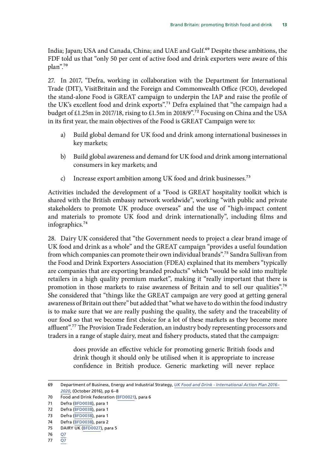India; Japan; USA and Canada, China; and UAE and Gulf.<sup>69</sup> Despite these ambitions, the FDF told us that "only 50 per cent of active food and drink exporters were aware of this plan".70

27. In 2017, "Defra, working in collaboration with the Department for International Trade (DIT), VisitBritain and the Foreign and Commonwealth Office (FCO), developed the stand-alone Food is GREAT campaign to underpin the IAP and raise the profile of the UK's excellent food and drink exports".<sup>71</sup> Defra explained that "the campaign had a budget of £1.25m in 2017/18, rising to £1.5m in 2018/9".72 Focusing on China and the USA in its first year, the main objectives of the Food is GREAT Campaign were to:

- a) Build global demand for UK food and drink among international businesses in key markets;
- b) Build global awareness and demand for UK food and drink among international consumers in key markets; and
- c) Increase export ambition among UK food and drink businesses.<sup>73</sup>

Activities included the development of a "Food is GREAT hospitality toolkit which is shared with the British embassy network worldwide", working "with public and private stakeholders to promote UK produce overseas" and the use of "high-impact content and materials to promote UK food and drink internationally", including films and infographics.<sup>74</sup>

28. Dairy UK considered that "the Government needs to project a clear brand image of UK food and drink as a whole" and the GREAT campaign "provides a useful foundation from which companies can promote their own individual brands".75 Sandra Sullivan from the Food and Drink Exporters Association (FDEA) explained that its members "typically are companies that are exporting branded products" which "would be sold into multiple retailers in a high quality premium market", making it "really important that there is promotion in those markets to raise awareness of Britain and to sell our qualities".76 She considered that "things like the GREAT campaign are very good at getting general awareness of Britain out there" but added that "what we have to do within the food industry is to make sure that we are really pushing the quality, the safety and the traceability of our food so that we become first choice for a lot of these markets as they become more affluent".<sup>77</sup> The Provision Trade Federation, an industry body representing processors and traders in a range of staple dairy, meat and fishery products, stated that the campaign:

> does provide an effective vehicle for promoting generic British foods and drink though it should only be utilised when it is appropriate to increase confidence in British produce. Generic marketing will never replace

77 [Q7](http://data.parliament.uk/writtenevidence/committeeevidence.svc/evidencedocument/environment-food-and-rural-affairs-committee/brand-britain-promoting-and-marketing-british-food-and-drink/oral/94920.html)

<sup>69</sup> Department of Business, Energy and Industrial Strategy, *[UK Food and Drink - International Action Plan 2016–](https://assets.publishing.service.gov.uk/government/uploads/system/uploads/attachment_data/file/560786/food-drink-export-action-plan-2016-2020.pdf) [2020](https://assets.publishing.service.gov.uk/government/uploads/system/uploads/attachment_data/file/560786/food-drink-export-action-plan-2016-2020.pdf)*, (October 2016), pp 6–8

<sup>70</sup> Food and Drink Federation ([BFD0021](http://data.parliament.uk/writtenevidence/committeeevidence.svc/evidencedocument/environment-food-and-rural-affairs-committee/brand-britain-promoting-and-marketing-british-food-and-drink/written/84661.html)), para 6

<sup>71</sup> Defra [\(BFD0038\)](http://data.parliament.uk/writtenevidence/committeeevidence.svc/evidencedocument/environment-food-and-rural-affairs-committee/brand-britain-promoting-and-marketing-british-food-and-drink/written/85451.html), para 1

<sup>72</sup> Defra [\(BFD0038\)](http://data.parliament.uk/writtenevidence/committeeevidence.svc/evidencedocument/environment-food-and-rural-affairs-committee/brand-britain-promoting-and-marketing-british-food-and-drink/written/85451.html), para 1

<sup>73</sup> Defra [\(BFD0038\)](http://data.parliament.uk/writtenevidence/committeeevidence.svc/evidencedocument/environment-food-and-rural-affairs-committee/brand-britain-promoting-and-marketing-british-food-and-drink/written/85451.html), para 1

<sup>74</sup> Defra [\(BFD0038\)](http://data.parliament.uk/writtenevidence/committeeevidence.svc/evidencedocument/environment-food-and-rural-affairs-committee/brand-britain-promoting-and-marketing-british-food-and-drink/written/85451.html), para 2

<sup>75</sup> DAIRY UK ([BFD0027](http://data.parliament.uk/writtenevidence/committeeevidence.svc/evidencedocument/environment-food-and-rural-affairs-committee/brand-britain-promoting-and-marketing-british-food-and-drink/written/84721.html)), para 5

<sup>76</sup> [Q7](http://data.parliament.uk/writtenevidence/committeeevidence.svc/evidencedocument/environment-food-and-rural-affairs-committee/brand-britain-promoting-and-marketing-british-food-and-drink/oral/94920.html)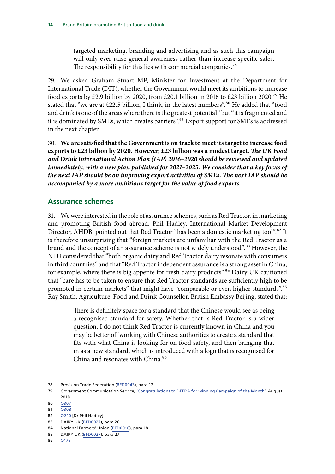<span id="page-15-0"></span>targeted marketing, branding and advertising and as such this campaign will only ever raise general awareness rather than increase specific sales. The responsibility for this lies with commercial companies.<sup>78</sup>

29. We asked Graham Stuart MP, Minister for Investment at the Department for International Trade (DIT), whether the Government would meet its ambitions to increase food exports by £2.9 billion by 2020, from £20.1 billion in 2016 to £23 billion 2020.<sup>79</sup> He stated that "we are at £22.5 billion, I think, in the latest numbers".<sup>80</sup> He added that "food and drink is one of the areas where there is the greatest potential" but "it is fragmented and it is dominated by SMEs, which creates barriers".<sup>81</sup> Export support for SMEs is addressed in the next chapter.

30. **We are satisfied that the Government is on track to meet its target to increase food**  exports to £23 billion by 2020. However, £23 billion was a modest target. *The UK Food and Drink International Action Plan (IAP) 2016–2020 should be reviewed and updated immediately, with a new plan published for 2021–2025. We consider that a key focus of the next IAP should be on improving export activities of SMEs. The next IAP should be accompanied by a more ambitious target for the value of food exports.*

### **Assurance schemes**

31. We were interested in the role of assurance schemes, such as Red Tractor, in marketing and promoting British food abroad. Phil Hadley, International Market Development Director, AHDB, pointed out that Red Tractor "has been a domestic marketing tool".<sup>82</sup> It is therefore unsurprising that "foreign markets are unfamiliar with the Red Tractor as a brand and the concept of an assurance scheme is not widely understood".<sup>83</sup> However, the NFU considered that "both organic dairy and Red Tractor dairy resonate with consumers in third countries" and that "Red Tractor independent assurance is a strong asset in China, for example, where there is big appetite for fresh dairy products".<sup>84</sup> Dairy UK cautioned that "care has to be taken to ensure that Red Tractor standards are sufficiently high to be promoted in certain markets" that might have "comparable or even higher standards".<sup>85</sup> Ray Smith, Agriculture, Food and Drink Counsellor, British Embassy Beijing, stated that:

> There is definitely space for a standard that the Chinese would see as being a recognised standard for safety. Whether that is Red Tractor is a wider question. I do not think Red Tractor is currently known in China and you may be better off working with Chinese authorities to create a standard that fits with what China is looking for on food safety, and then bringing that in as a new standard, which is introduced with a logo that is recognised for China and resonates with China.<sup>86</sup>

- 80 **O307**
- 81 [Q308](http://data.parliament.uk/writtenevidence/committeeevidence.svc/evidencedocument/environment-food-and-rural-affairs-committee/brand-britain-promoting-and-marketing-british-food-and-drink/oral/98000.html)
- 82 [Q240](http://data.parliament.uk/writtenevidence/committeeevidence.svc/evidencedocument/environment-food-and-rural-affairs-committee/brand-britain-promoting-and-marketing-british-food-and-drink/oral/96752.html) [Dr Phil Hadley]
- 83 DAIRY UK ([BFD0027](http://data.parliament.uk/writtenevidence/committeeevidence.svc/evidencedocument/environment-food-and-rural-affairs-committee/brand-britain-promoting-and-marketing-british-food-and-drink/written/84721.html)), para 26
- 84 National Farmers' Union [\(BFD0016](http://data.parliament.uk/writtenevidence/committeeevidence.svc/evidencedocument/environment-food-and-rural-affairs-committee/brand-britain-promoting-and-marketing-british-food-and-drink/written/84592.html)), para 18

86 [Q175](http://data.parliament.uk/writtenevidence/committeeevidence.svc/evidencedocument/environment-food-and-rural-affairs-committee/brand-britain-promoting-and-marketing-british-food-and-drink/oral/96752.html)

<sup>78</sup> Provision Trade Federation ([BFD0043](http://data.parliament.uk/writtenevidence/committeeevidence.svc/evidencedocument/environment-food-and-rural-affairs-committee/brand-britain-promoting-and-marketing-british-food-and-drink/written/91953.html)), para 17

<sup>79</sup> Government Communication Service, '[Congratulations to DEFRA for winning Campaign of the Month](https://gcs.civilservice.gov.uk/news/congratulations-to-defra-for-winning-campaign-of-the-month/)', August 2018

<sup>85</sup> DAIRY UK ([BFD0027](http://data.parliament.uk/writtenevidence/committeeevidence.svc/evidencedocument/environment-food-and-rural-affairs-committee/brand-britain-promoting-and-marketing-british-food-and-drink/written/84721.html)), para 27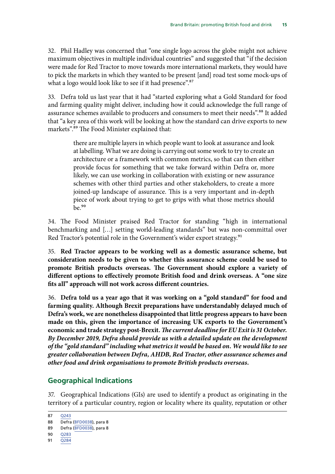<span id="page-16-0"></span>32. Phil Hadley was concerned that "one single logo across the globe might not achieve maximum objectives in multiple individual countries" and suggested that "if the decision were made for Red Tractor to move towards more international markets, they would have to pick the markets in which they wanted to be present [and] road test some mock-ups of what a logo would look like to see if it had presence".<sup>87</sup>

33. Defra told us last year that it had "started exploring what a Gold Standard for food and farming quality might deliver, including how it could acknowledge the full range of assurance schemes available to producers and consumers to meet their needs".<sup>88</sup> It added that "a key area of this work will be looking at how the standard can drive exports to new markets".<sup>89</sup> The Food Minister explained that:

> there are multiple layers in which people want to look at assurance and look at labelling. What we are doing is carrying out some work to try to create an architecture or a framework with common metrics, so that can then either provide focus for something that we take forward within Defra or, more likely, we can use working in collaboration with existing or new assurance schemes with other third parties and other stakeholders, to create a more joined-up landscape of assurance. This is a very important and in-depth piece of work about trying to get to grips with what those metrics should  $he^{90}$

34. The Food Minister praised Red Tractor for standing "high in international benchmarking and […] setting world-leading standards" but was non-committal over Red Tractor's potential role in the Government's wider export strategy.<sup>91</sup>

35. **Red Tractor appears to be working well as a domestic assurance scheme, but consideration needs to be given to whether this assurance scheme could be used to promote British products overseas. The Government should explore a variety of different options to effectively promote British food and drink overseas. A "one size fits all" approach will not work across different countries.**

36. **Defra told us a year ago that it was working on a "gold standard" for food and farming quality. Although Brexit preparations have understandably delayed much of Defra's work, we are nonetheless disappointed that little progress appears to have been made on this, given the importance of increasing UK exports to the Government's**  economic and trade strategy post-Brexit. The current deadline for EU Exit is 31 October. *By December 2019, Defra should provide us with a detailed update on the development of the "gold standard" including what metrics it would be based on. We would like to see greater collaboration between Defra, AHDB, Red Tractor, other assurance schemes and other food and drink organisations to promote British products overseas.*

### **Geographical Indications**

37. Geographical Indications (GIs) are used to identify a product as originating in the territory of a particular country, region or locality where its quality, reputation or other

<sup>87</sup> [Q243](http://data.parliament.uk/writtenevidence/committeeevidence.svc/evidencedocument/environment-food-and-rural-affairs-committee/brand-britain-promoting-and-marketing-british-food-and-drink/oral/96752.html)

<sup>88</sup> Defra [\(BFD0038\)](http://data.parliament.uk/writtenevidence/committeeevidence.svc/evidencedocument/environment-food-and-rural-affairs-committee/brand-britain-promoting-and-marketing-british-food-and-drink/written/85451.html), para 8

<sup>89</sup> Defra [\(BFD0038\)](http://data.parliament.uk/writtenevidence/committeeevidence.svc/evidencedocument/environment-food-and-rural-affairs-committee/brand-britain-promoting-and-marketing-british-food-and-drink/written/85451.html), para 8

<sup>90</sup> [Q283](http://data.parliament.uk/writtenevidence/committeeevidence.svc/evidencedocument/environment-food-and-rural-affairs-committee/brand-britain-promoting-and-marketing-british-food-and-drink/oral/98000.html)

<sup>91</sup> [Q284](http://data.parliament.uk/writtenevidence/committeeevidence.svc/evidencedocument/environment-food-and-rural-affairs-committee/brand-britain-promoting-and-marketing-british-food-and-drink/oral/98000.html)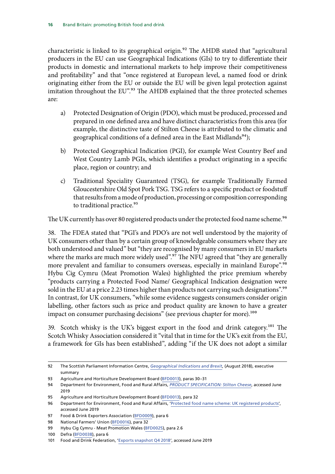characteristic is linked to its geographical origin.<sup>92</sup> The AHDB stated that "agricultural producers in the EU can use Geographical Indications (GIs) to try to differentiate their products in domestic and international markets to help improve their competitiveness and profitability" and that "once registered at European level, a named food or drink originating either from the EU or outside the EU will be given legal protection against imitation throughout the EU".<sup>93</sup> The [AHDB](http://data.parliament.uk/writtenevidence/committeeevidence.svc/evidencedocument/environment-food-and-rural-affairs-committee/brand-britain-promoting-and-marketing-british-food-and-drink/written/84571.pdf) explained that the three protected schemes are:

- a) Protected Designation of Origin (PDO), which must be produced, processed and prepared in one defined area and have distinct characteristics from this area (for example, the distinctive taste of Stilton Cheese is attributed to the climatic and geographical conditions of a defined area in the East Midlands<sup>94</sup>);
- b) Protected Geographical Indication (PGI), for example West Country Beef and West Country Lamb PGIs, which identifies a product originating in a specific place, region or country; and
- c) Traditional Speciality Guaranteed (TSG), for example Traditionally Farmed Gloucestershire Old Spot Pork TSG. TSG refers to a specific product or foodstuff that results from a mode of production, processing or composition corresponding to traditional practice.<sup>95</sup>

The UK currently has over 80 registered products under the protected food name scheme.<sup>96</sup>

38. The [FDEA](http://data.parliament.uk/writtenevidence/committeeevidence.svc/evidencedocument/environment-food-and-rural-affairs-committee/brand-britain-promoting-and-marketing-british-food-and-drink/written/84293.pdf) stated that "PGI's and PDO's are not well understood by the majority of UK consumers other than by a certain group of knowledgeable consumers where they are both understood and valued" but "they are recognised by many consumers in EU markets where the marks are much more widely used".<sup>97</sup> The NFU agreed that "they are generally more prevalent and familiar to consumers overseas, especially in mainland Europe".<sup>98</sup> Hybu Cig Cymru (Meat Promotion Wales) highlighted the price premium whereby "products carrying a Protected Food Name/ Geographical Indication designation were sold in the EU at a price 2.23 times higher than products not carrying such designations".<sup>99</sup> In contrast, for UK consumers, "while some evidence suggests consumers consider origin labelling, other factors such as price and product quality are known to have a greater impact on consumer purchasing decisions" (see previous chapter for more).<sup>100</sup>

39. Scotch whisky is the UK's biggest export in the food and drink category.<sup>101</sup> The [Scotch Whisky Association](http://data.parliament.uk/writtenevidence/committeeevidence.svc/evidencedocument/environment-food-and-rural-affairs-committee/brand-britain-promoting-and-marketing-british-food-and-drink/written/83884.pdf) considered it "vital that in time for the UK's exit from the EU, a framework for GIs has been established", adding "if the UK does not adopt a similar

<sup>92</sup> The Scottish Parliament Information Centre, *Geographical Indications and Brexit*, (August 2018), executive summary

<sup>93</sup> Agriculture and Horticulture Development Board ([BFD0013\)](http://data.parliament.uk/writtenevidence/committeeevidence.svc/evidencedocument/environment-food-and-rural-affairs-committee/brand-britain-promoting-and-marketing-british-food-and-drink/written/84571.html), paras 30–31

<sup>94</sup> Department for Environment, Food and Rural Affairs, *[PRODUCT SPECIFICATION: Stilton Cheese](https://assets.publishing.service.gov.uk/government/uploads/system/uploads/attachment_data/file/271252/pfn-stilton-cheese.pdf)*, accessed June 2019

<sup>95</sup> Agriculture and Horticulture Development Board ([BFD0013\)](http://data.parliament.uk/writtenevidence/committeeevidence.svc/evidencedocument/environment-food-and-rural-affairs-committee/brand-britain-promoting-and-marketing-british-food-and-drink/written/84571.html), para 32

<sup>96</sup> Department for Environment, Food and Rural Affairs, '[Protected food name scheme: UK registered products](https://www.gov.uk/government/collections/protected-food-name-scheme-uk-registered-products)', accessed June 2019

<sup>97</sup> Food & Drink Exporters Association ([BFD0009\)](http://data.parliament.uk/writtenevidence/committeeevidence.svc/evidencedocument/environment-food-and-rural-affairs-committee/brand-britain-promoting-and-marketing-british-food-and-drink/written/84293.html), para 6

<sup>98</sup> National Farmers' Union [\(BFD0016](http://data.parliament.uk/writtenevidence/committeeevidence.svc/evidencedocument/environment-food-and-rural-affairs-committee/brand-britain-promoting-and-marketing-british-food-and-drink/written/84592.html)), para 32

<sup>99</sup> Hybu Cig Cymru - Meat Promotion Wales ([BFD0025](http://data.parliament.uk/writtenevidence/committeeevidence.svc/evidencedocument/environment-food-and-rural-affairs-committee/brand-britain-promoting-and-marketing-british-food-and-drink/written/84713.html)), para 2.6

<sup>100</sup> Defra [\(BFD0038\)](http://data.parliament.uk/writtenevidence/committeeevidence.svc/evidencedocument/environment-food-and-rural-affairs-committee/brand-britain-promoting-and-marketing-british-food-and-drink/written/85451.html), para 6

<sup>101</sup> Food and Drink Federation, ['Exports snapshot Q4 2018'](https://www.fdf.org.uk/exports-2018-q4.aspx), accessed June 2019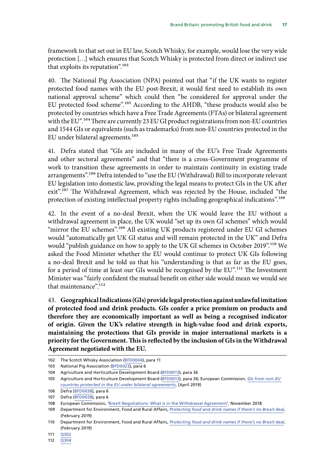framework to that set out in EU law, Scotch Whisky, for example, would lose the very wide protection […] which ensures that Scotch Whisky is protected from direct or indirect use that exploits its reputation".102

40. The National Pig Association (NPA) pointed out that "if the UK wants to register protected food names with the EU post-Brexit, it would first need to establish its own national approval scheme" which could then "be considered for approval under the EU protected food scheme".103 According to the AHDB, "these products would also be protected by countries which have a Free Trade Agreements (FTAs) or bilateral agreement with the EU".<sup>104</sup> There are currently 23 EU GI product registrations from non-EU countries and 1544 GIs or equivalents (such as trademarks) from non-EU countries protected in the EU under bilateral agreements.<sup>105</sup>

41. Defra stated that "GIs are included in many of the EU's Free Trade Agreements and other sectoral agreements" and that "there is a cross-Government programme of work to transition these agreements in order to maintain continuity in existing trade arrangements".<sup>106</sup> Defra intended to "use the EU (Withdrawal) Bill to incorporate relevant EU legislation into domestic law, providing the legal means to protect GIs in the UK after exit".<sup>107</sup> The Withdrawal Agreement, which was rejected by the House, included "the protection of existing intellectual property rights including geographical indications".<sup>108</sup>

42. In the event of a no-deal Brexit, when the UK would leave the EU without a withdrawal agreement in place, the UK would "set up its own GI schemes" which would "mirror the EU schemes".<sup>109</sup> All existing UK products registered under EU GI schemes would "automatically get UK GI status and will remain protected in the UK" and Defra would "publish guidance on how to apply to the UK GI schemes in October 2019".<sup>110</sup> We asked the Food Minister whether the EU would continue to protect UK GIs following a no-deal Brexit and he told us that his "understanding is that as far as the EU goes, for a period of time at least our GIs would be recognised by the EU".<sup>111</sup> The Investment Minister was "fairly confident the mutual benefit on either side would mean we would see that maintenance".<sup>112</sup>

43. **Geographical Indications (GIs) provide legal protection against unlawful imitation of protected food and drink products. GIs confer a price premium on products and therefore they are economically important as well as being a recognised indicator of origin. Given the UK's relative strength in high-value food and drink exports, maintaining the protections that GIs provide in major international markets is a priority for the Government. This is reflected by the inclusion of GIs in the Withdrawal Agreement negotiated with the EU.**

111 [Q302](http://data.parliament.uk/writtenevidence/committeeevidence.svc/evidencedocument/environment-food-and-rural-affairs-committee/brand-britain-promoting-and-marketing-british-food-and-drink/oral/98000.html)

<sup>102</sup> The Scotch Whisky Association ([BFD0004](http://data.parliament.uk/writtenevidence/committeeevidence.svc/evidencedocument/environment-food-and-rural-affairs-committee/brand-britain-promoting-and-marketing-british-food-and-drink/written/83884.html)), para 11

<sup>103</sup> National Pig Association ([BFD0023](http://data.parliament.uk/writtenevidence/committeeevidence.svc/evidencedocument/environment-food-and-rural-affairs-committee/brand-britain-promoting-and-marketing-british-food-and-drink/written/84679.html)), para 6

<sup>104</sup> Agriculture and Horticulture Development Board ([BFD0013\)](http://data.parliament.uk/writtenevidence/committeeevidence.svc/evidencedocument/environment-food-and-rural-affairs-committee/brand-britain-promoting-and-marketing-british-food-and-drink/written/84571.html), para 36

<sup>105</sup> Agriculture and Horticulture Development Board ([BFD0013\)](http://data.parliament.uk/writtenevidence/committeeevidence.svc/evidencedocument/environment-food-and-rural-affairs-committee/brand-britain-promoting-and-marketing-british-food-and-drink/written/84571.html), para 36; European Commission, *[GIs from non-EU](https://ec.europa.eu/info/sites/info/files/food-farming-fisheries/food_safety_and_quality/documents/list-gis-non-eu-countries-protected-in-eu_en.pdf)  [countries protected in the EU under bilateral agreements](https://ec.europa.eu/info/sites/info/files/food-farming-fisheries/food_safety_and_quality/documents/list-gis-non-eu-countries-protected-in-eu_en.pdf)*, (April 2019)

<sup>106</sup> Defra [\(BFD0038\)](http://data.parliament.uk/writtenevidence/committeeevidence.svc/evidencedocument/environment-food-and-rural-affairs-committee/brand-britain-promoting-and-marketing-british-food-and-drink/written/85451.html), para 6

<sup>107</sup> Defra [\(BFD0038\)](http://data.parliament.uk/writtenevidence/committeeevidence.svc/evidencedocument/environment-food-and-rural-affairs-committee/brand-britain-promoting-and-marketing-british-food-and-drink/written/85451.html), para 6

<sup>108</sup> European Commission, ['Brexit Negotiations: What is in the Withdrawal Agreement'](http://europa.eu/rapid/press-release_MEMO-18-6422_en.htm), November 2018

<sup>109</sup> Department for Environment, Food and Rural Affairs, *[Protecting food and drink names if there's no Brexit deal](https://www.gov.uk/guidance/protecting-food-and-drink-names-if-theres-no-brexit-deal)*, (February 2019)

<sup>110</sup> Department for Environment, Food and Rural Affairs, *[Protecting food and drink names if there's no Brexit deal](https://www.gov.uk/guidance/protecting-food-and-drink-names-if-theres-no-brexit-deal)*, (February 2019)

<sup>112</sup> [Q304](http://data.parliament.uk/writtenevidence/committeeevidence.svc/evidencedocument/environment-food-and-rural-affairs-committee/brand-britain-promoting-and-marketing-british-food-and-drink/oral/98000.html)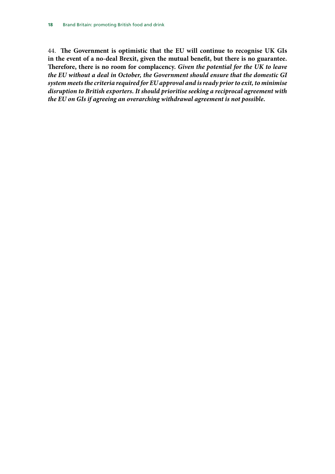44. **The Government is optimistic that the EU will continue to recognise UK GIs in the event of a no-deal Brexit, given the mutual benefit, but there is no guarantee. Therefore, there is no room for complacency.** *Given the potential for the UK to leave the EU without a deal in October, the Government should ensure that the domestic GI system meets the criteria required for EU approval and is ready prior to exit, to minimise disruption to British exporters. It should prioritise seeking a reciprocal agreement with the EU on GIs if agreeing an overarching withdrawal agreement is not possible.*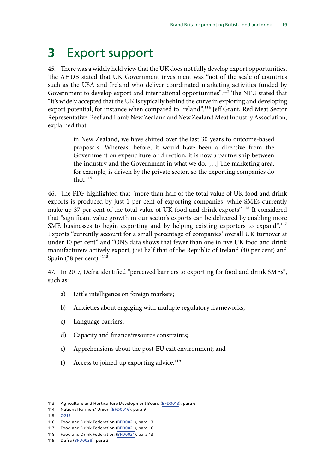## <span id="page-20-0"></span>**3** Export support

45. There was a widely held view that the UK does not fully develop export opportunities. The AHDB stated that UK Government investment was "not of the scale of countries such as the USA and Ireland who deliver coordinated marketing activities funded by Government to develop export and international opportunities".<sup>113</sup> The NFU stated that "it's widely accepted that the UK is typically behind the curve in exploring and developing export potential, for instance when compared to Ireland".<sup>114</sup> Jeff Grant, Red Meat Sector Representative, Beef and Lamb New Zealand and New Zealand Meat Industry Association, explained that:

> in New Zealand, we have shifted over the last 30 years to outcome-based proposals. Whereas, before, it would have been a directive from the Government on expenditure or direction, it is now a partnership between the industry and the Government in what we do. […] The marketing area, for example, is driven by the private sector, so the exporting companies do that. $115$

46. The FDF highlighted that "more than half of the total value of UK food and drink exports is produced by just 1 per cent of exporting companies, while SMEs currently make up 37 per cent of the total value of UK food and drink exports".<sup>116</sup> It considered that "significant value growth in our sector's exports can be delivered by enabling more SME businesses to begin exporting and by helping existing exporters to expand".<sup>117</sup> Exports "currently account for a small percentage of companies' overall UK turnover at under 10 per cent" and "ONS data shows that fewer than one in five UK food and drink manufacturers actively export, just half that of the Republic of Ireland (40 per cent) and Spain (38 per cent)". $^{118}$ 

47. In 2017, Defra identified "perceived barriers to exporting for food and drink SMEs", such as:

- a) Little intelligence on foreign markets;
- b) Anxieties about engaging with multiple regulatory frameworks;
- c) Language barriers;
- d) Capacity and finance/resource constraints;
- e) Apprehensions about the post-EU exit environment; and
- f) Access to joined-up exporting advice.<sup>119</sup>

<sup>113</sup> Agriculture and Horticulture Development Board ([BFD0013\)](http://data.parliament.uk/writtenevidence/committeeevidence.svc/evidencedocument/environment-food-and-rural-affairs-committee/brand-britain-promoting-and-marketing-british-food-and-drink/written/84571.html), para 6

<sup>114</sup> National Farmers' Union [\(BFD0016](http://data.parliament.uk/writtenevidence/committeeevidence.svc/evidencedocument/environment-food-and-rural-affairs-committee/brand-britain-promoting-and-marketing-british-food-and-drink/written/84592.html)), para 9

<sup>115</sup> [Q213](http://data.parliament.uk/writtenevidence/committeeevidence.svc/evidencedocument/environment-food-and-rural-affairs-committee/brand-britain-promoting-and-marketing-british-food-and-drink/oral/96752.html)

<sup>116</sup> Food and Drink Federation ([BFD0021](http://data.parliament.uk/writtenevidence/committeeevidence.svc/evidencedocument/environment-food-and-rural-affairs-committee/brand-britain-promoting-and-marketing-british-food-and-drink/written/84661.html)), para 13

<sup>117</sup> Food and Drink Federation ([BFD0021](http://data.parliament.uk/writtenevidence/committeeevidence.svc/evidencedocument/environment-food-and-rural-affairs-committee/brand-britain-promoting-and-marketing-british-food-and-drink/written/84661.html)), para 16

<sup>118</sup> Food and Drink Federation ([BFD0021](http://data.parliament.uk/writtenevidence/committeeevidence.svc/evidencedocument/environment-food-and-rural-affairs-committee/brand-britain-promoting-and-marketing-british-food-and-drink/written/84661.html)), para 13

<sup>119</sup> Defra [\(BFD0038\)](http://data.parliament.uk/writtenevidence/committeeevidence.svc/evidencedocument/environment-food-and-rural-affairs-committee/brand-britain-promoting-and-marketing-british-food-and-drink/written/85451.html), para 3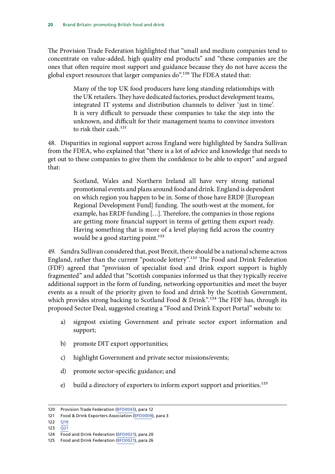The Provision Trade Federation highlighted that "small and medium companies tend to concentrate on value-added, high quality end products" and "these companies are the ones that often require most support and guidance because they do not have access the global export resources that larger companies do".<sup>120</sup> The FDEA stated that:

> Many of the top UK food producers have long standing relationships with the UK retailers. They have dedicated factories, product development teams, integrated IT systems and distribution channels to deliver 'just in time'. It is very difficult to persuade these companies to take the step into the unknown, and difficult for their management teams to convince investors to risk their cash.<sup>121</sup>

48. Disparities in regional support across England were highlighted by Sandra Sullivan from the FDEA, who explained that "there is a lot of advice and knowledge that needs to get out to these companies to give them the confidence to be able to export" and argued that:

> Scotland, Wales and Northern Ireland all have very strong national promotional events and plans around food and drink. England is dependent on which region you happen to be in. Some of those have ERDF [European Regional Development Fund] funding. The south-west at the moment, for example, has ERDF funding […]. Therefore, the companies in those regions are getting more financial support in terms of getting them export ready. Having something that is more of a level playing field across the country would be a good starting point. $122$

49. Sandra Sullivan considered that, post Brexit, there should be a national scheme across England, rather than the current "postcode lottery".123 The Food and Drink Federation (FDF) agreed that "provision of specialist food and drink export support is highly fragmented" and added that "Scottish companies informed us that they typically receive additional support in the form of funding, networking opportunities and meet the buyer events as a result of the priority given to food and drink by the Scottish Government, which provides strong backing to Scotland Food & Drink".<sup>124</sup> The FDF has, through its proposed Sector Deal, suggested creating a "Food and Drink Export Portal" website to:

- a) signpost existing Government and private sector export information and support;
- b) promote DIT export opportunities;
- c) highlight Government and private sector missions/events;
- d) promote sector-specific guidance; and
- e) build a directory of exporters to inform export support and priorities.125

- 122 [Q19](http://data.parliament.uk/writtenevidence/committeeevidence.svc/evidencedocument/environment-food-and-rural-affairs-committee/brand-britain-promoting-and-marketing-british-food-and-drink/oral/94920.html)
- 123 [Q21](http://data.parliament.uk/writtenevidence/committeeevidence.svc/evidencedocument/environment-food-and-rural-affairs-committee/brand-britain-promoting-and-marketing-british-food-and-drink/oral/94920.html)

<sup>120</sup> Provision Trade Federation ([BFD0043](http://data.parliament.uk/writtenevidence/committeeevidence.svc/evidencedocument/environment-food-and-rural-affairs-committee/brand-britain-promoting-and-marketing-british-food-and-drink/written/91953.html)), para 12

<sup>121</sup> Food & Drink Exporters Association ([BFD0009\)](http://data.parliament.uk/writtenevidence/committeeevidence.svc/evidencedocument/environment-food-and-rural-affairs-committee/brand-britain-promoting-and-marketing-british-food-and-drink/written/84293.html), para 3

<sup>124</sup> Food and Drink Federation ([BFD0021](http://data.parliament.uk/writtenevidence/committeeevidence.svc/evidencedocument/environment-food-and-rural-affairs-committee/brand-britain-promoting-and-marketing-british-food-and-drink/written/84661.html)), para 20

<sup>125</sup> Food and Drink Federation ([BFD0021](http://data.parliament.uk/writtenevidence/committeeevidence.svc/evidencedocument/environment-food-and-rural-affairs-committee/brand-britain-promoting-and-marketing-british-food-and-drink/written/84661.html)), para 26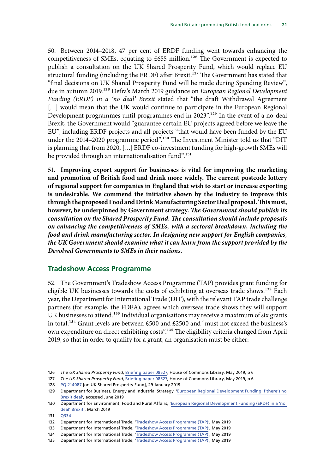<span id="page-22-0"></span>50. Between 2014–2018, 47 per cent of ERDF funding went towards enhancing the competitiveness of SMEs, equating to £655 million.<sup>126</sup> The Government is expected to publish a consultation on the UK Shared Prosperity Fund, which would replace EU structural funding (including the ERDF) after Brexit.<sup>127</sup> The Government has stated that "final decisions on UK Shared Prosperity Fund will be made during Spending Review", due in autumn 2019.128 Defra's March 2019 guidance on *European Regional Development Funding (ERDF) in a 'no deal' Brexit* stated that "the draft Withdrawal Agreement [...] would mean that the UK would continue to participate in the European Regional Development programmes until programmes end in 2023".129 In the event of a no-deal Brexit, the Government would "guarantee certain EU projects agreed before we leave the EU", including ERDF projects and all projects "that would have been funded by the EU under the 2014–2020 programme period".<sup>130</sup> The Investment Minister told us that "DIT is planning that from 2020, […] ERDF co-investment funding for high-growth SMEs will be provided through an internationalisation fund".<sup>131</sup>

51. **Improving export support for businesses is vital for improving the marketing and promotion of British food and drink more widely. The current postcode lottery of regional support for companies in England that wish to start or increase exporting is undesirable. We commend the initiative shown by the industry to improve this through the proposed Food and Drink Manufacturing Sector Deal proposal. This must,**  however, be underpinned by Government strategy. The Government should publish its *consultation on the Shared Prosperity Fund. The consultation should include proposals on enhancing the competitiveness of SMEs, with a sectoral breakdown, including the food and drink manufacturing sector. In designing new support for English companies, the UK Government should examine what it can learn from the support provided by the Devolved Governments to SMEs in their nations.*

### **Tradeshow Access Programme**

52. The Government's Tradeshow Access Programme (TAP) provides grant funding for eligible UK businesses towards the costs of exhibiting at overseas trade shows.<sup>132</sup> Each year, the Department for International Trade (DIT), with the relevant TAP trade challenge partners (for example, the FDEA), agrees which overseas trade shows they will support UK businesses to attend.<sup>133</sup> Individual organisations may receive a maximum of six grants in total.134 Grant levels are between £500 and £2500 and "must not exceed the business's own expenditure on direct exhibiting costs".<sup>135</sup> The eligibility criteria changed from April 2019, so that in order to qualify for a grant, an organisation must be either:

<sup>126</sup> *The UK Shared Prosperity Fund*, [Briefing paper 08527](https://researchbriefings.files.parliament.uk/documents/CBP-8527/CBP-8527.pdf), House of Commons Library, May 2019, p 6

<sup>127</sup> *The UK Shared Prosperity Fund*, [Briefing paper 08527](https://researchbriefings.files.parliament.uk/documents/CBP-8527/CBP-8527.pdf), House of Commons Library, May 2019, p 6

<sup>128</sup> PQ [214087](https://www.parliament.uk/business/publications/written-questions-answers-statements/written-question/Commons/2019-01-29/214087) [on UK Shared Prosperity Fund], 29 January 2019

<sup>129</sup> Department for Business, Energy and Industrial Strategy, '[European Regional Development Funding if there's no](http://data.parliament.uk/DepositedPapers/Files/DEP2018-0890/7_European_Regional_Development.pdf)  [Brexit deal](http://data.parliament.uk/DepositedPapers/Files/DEP2018-0890/7_European_Regional_Development.pdf)', accessed June 2019

<sup>130</sup> Department for Environment, Food and Rural Affairs, '[European Regional Development Funding \(ERDF\) in a 'no](https://www.gov.uk/government/publications/european-regional-development-funding-if-theres-no-brexit-deal/european-regional-development-funding-if-theres-no-brexit-deal)  [deal' Brexit'](https://www.gov.uk/government/publications/european-regional-development-funding-if-theres-no-brexit-deal/european-regional-development-funding-if-theres-no-brexit-deal), March 2019

<sup>131</sup> [Q334](http://data.parliament.uk/writtenevidence/committeeevidence.svc/evidencedocument/environment-food-and-rural-affairs-committee/brand-britain-promoting-and-marketing-british-food-and-drink/oral/98000.html)

<sup>132</sup> Department for International Trade, '[Tradeshow Access Programme \(TAP\)](https://www.gov.uk/guidance/tradeshow-access-programme)', May 2019

<sup>133</sup> Department for International Trade, '[Tradeshow Access Programme \(TAP\)](https://www.gov.uk/guidance/tradeshow-access-programme)', May 2019

<sup>134</sup> Department for International Trade, '[Tradeshow Access Programme \(TAP\)](https://www.gov.uk/guidance/tradeshow-access-programme)', May 2019

<sup>135</sup> Department for International Trade, '[Tradeshow Access Programme \(TAP\)](https://www.gov.uk/guidance/tradeshow-access-programme)', May 2019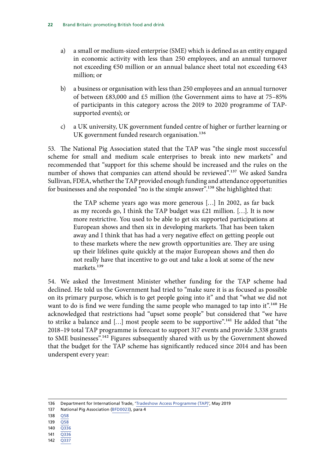- a) a small or medium-sized enterprise (SME) which is defined as an entity engaged in economic activity with less than 250 employees, and an annual turnover not exceeding €50 million or an annual balance sheet total not exceeding €43 million; or
- b) a business or organisation with less than 250 employees and an annual turnover of between £83,000 and £5 million (the Government aims to have at 75–85% of participants in this category across the 2019 to 2020 programme of TAPsupported events); or
- c) a UK university, UK government funded centre of higher or further learning or UK government funded research organisation.<sup>136</sup>

53. The National Pig Association stated that the TAP was "the single most successful scheme for small and medium scale enterprises to break into new markets" and recommended that "support for this scheme should be increased and the rules on the number of shows that companies can attend should be reviewed".<sup>137</sup> We asked Sandra Sullivan, FDEA, whether the TAP provided enough funding and attendance opportunities for businesses and she responded "no is the simple answer".<sup>138</sup> She highlighted that:

> the TAP scheme years ago was more generous […] In 2002, as far back as my records go, I think the TAP budget was £21 million. […]. It is now more restrictive. You used to be able to get six supported participations at European shows and then six in developing markets. That has been taken away and I think that has had a very negative effect on getting people out to these markets where the new growth opportunities are. They are using up their lifelines quite quickly at the major European shows and then do not really have that incentive to go out and take a look at some of the new markets<sup>139</sup>

54. We asked the Investment Minister whether funding for the TAP scheme had declined. He told us the Government had tried to "make sure it is as focused as possible on its primary purpose, which is to get people going into it" and that "what we did not want to do is find we were funding the same people who managed to tap into it".<sup>140</sup> He acknowledged that restrictions had "upset some people" but considered that "we have to strike a balance and [...] most people seem to be supportive".<sup>141</sup> He added that "the 2018–19 total TAP programme is forecast to support 317 events and provide 3,338 grants to SME businesses".<sup>142</sup> Figures subsequently shared with us by the Government showed that the budget for the TAP scheme has significantly reduced since 2014 and has been underspent every year:

- 138 [Q58](http://data.parliament.uk/writtenevidence/committeeevidence.svc/evidencedocument/environment-food-and-rural-affairs-committee/brand-britain-promoting-and-marketing-british-food-and-drink/oral/94920.html)
- 139 [Q58](http://data.parliament.uk/writtenevidence/committeeevidence.svc/evidencedocument/environment-food-and-rural-affairs-committee/brand-britain-promoting-and-marketing-british-food-and-drink/oral/94920.html)
- 140 [Q336](http://data.parliament.uk/writtenevidence/committeeevidence.svc/evidencedocument/environment-food-and-rural-affairs-committee/brand-britain-promoting-and-marketing-british-food-and-drink/oral/98000.html)
- 141 [Q336](http://data.parliament.uk/writtenevidence/committeeevidence.svc/evidencedocument/environment-food-and-rural-affairs-committee/brand-britain-promoting-and-marketing-british-food-and-drink/oral/98000.html)
- 142 [Q337](http://data.parliament.uk/writtenevidence/committeeevidence.svc/evidencedocument/environment-food-and-rural-affairs-committee/brand-britain-promoting-and-marketing-british-food-and-drink/oral/98000.html)

<sup>136</sup> Department for International Trade, '[Tradeshow Access Programme \(TAP\)](https://www.gov.uk/guidance/tradeshow-access-programme)', May 2019

<sup>137</sup> National Pig Association ([BFD0023](http://data.parliament.uk/writtenevidence/committeeevidence.svc/evidencedocument/environment-food-and-rural-affairs-committee/brand-britain-promoting-and-marketing-british-food-and-drink/written/84679.html)), para 4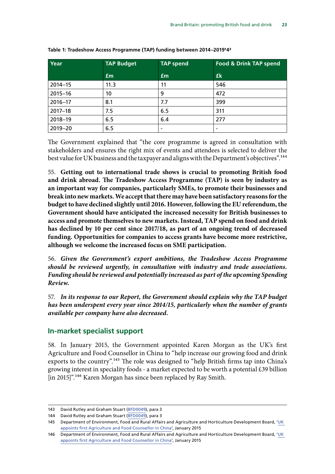| Year        | <b>TAP Budget</b> | <b>TAP spend</b>         | <b>Food &amp; Drink TAP spend</b> |
|-------------|-------------------|--------------------------|-----------------------------------|
|             | Em                | $\mathbf{f}$             | £k                                |
| $2014 - 15$ | 11.3              | 11                       | 546                               |
| $2015 - 16$ | 10                | 9                        | 472                               |
| $2016 - 17$ | 8.1               | 7.7                      | 399                               |
| $2017 - 18$ | 7.5               | 6.5                      | 311                               |
| 2018-19     | 6.5               | 6.4                      | 277                               |
| $2019 - 20$ | 6.5               | $\overline{\phantom{a}}$ |                                   |

<span id="page-24-0"></span>**Table 1: Tradeshow Access Programme (TAP) funding between 2014–2019143**

The Government explained that "the core programme is agreed in consultation with stakeholders and ensures the right mix of events and attendees is selected to deliver the best value for UK business and the taxpayer and aligns with the Department's objectives".144

55. **Getting out to international trade shows is crucial to promoting British food and drink abroad. The Tradeshow Access Programme (TAP) is seen by industry as an important way for companies, particularly SMEs, to promote their businesses and break into new markets. We accept that there may have been satisfactory reasons for the budget to have declined slightly until 2016. However, following the EU referendum, the Government should have anticipated the increased necessity for British businesses to access and promote themselves to new markets. Instead, TAP spend on food and drink has declined by 10 per cent since 2017/18, as part of an ongoing trend of decreased funding. Opportunities for companies to access grants have become more restrictive, although we welcome the increased focus on SME participation.**

56. *Given the Government's export ambitions, the Tradeshow Access Programme should be reviewed urgently, in consultation with industry and trade associations. Funding should be reviewed and potentially increased as part of the upcoming Spending Review.*

57. *In its response to our Report, the Government should explain why the TAP budget has been underspent every year since 2014/15, particularly when the number of grants available per company have also decreased.*

### **In-market specialist support**

58. In January 2015, the Government appointed Karen Morgan as the UK's first Agriculture and Food Counsellor in China to "help increase our growing food and drink exports to the country".<sup>145</sup> The role was designed to "help British firms tap into China's growing interest in speciality foods - a market expected to be worth a potential £39 billion [in 2015]".<sup>146</sup> Karen Morgan has since been replaced by Ray Smith.

<sup>143</sup> David Rutley and Graham Stuart [\(BFD0049\)](http://data.parliament.uk/writtenevidence/committeeevidence.svc/evidencedocument/environment-food-and-rural-affairs-committee/brand-britain-promoting-and-marketing-british-food-and-drink/written/101788.html), para 3

<sup>144</sup> David Rutley and Graham Stuart [\(BFD0049\)](http://data.parliament.uk/writtenevidence/committeeevidence.svc/evidencedocument/environment-food-and-rural-affairs-committee/brand-britain-promoting-and-marketing-british-food-and-drink/written/101788.html), para 3

<sup>145</sup> Department of Environment, Food and Rural Affairs and Agriculture and Horticulture Development Board, 'UK [appoints first Agriculture and Food Counsellor in China](https://www.gov.uk/government/news/uk-appoints-first-agriculture-and-food-counsellor-in-china)', January 2015

<sup>146</sup> Department of Environment, Food and Rural Affairs and Agriculture and Horticulture Development Board, '[UK](https://www.gov.uk/government/news/uk-appoints-first-agriculture-and-food-counsellor-in-china)  [appoints first Agriculture and Food Counsellor in China](https://www.gov.uk/government/news/uk-appoints-first-agriculture-and-food-counsellor-in-china)', January 2015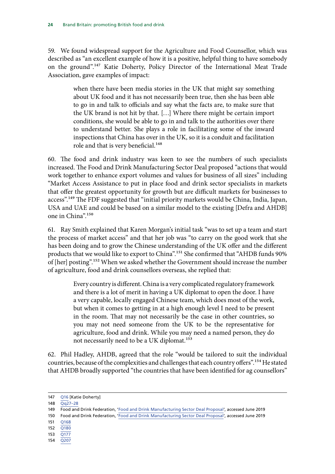59. We found widespread support for the Agriculture and Food Counsellor, which was described as "an excellent example of how it is a positive, helpful thing to have somebody on the ground".147 Katie Doherty, Policy Director of the International Meat Trade Association, gave examples of impact:

> when there have been media stories in the UK that might say something about UK food and it has not necessarily been true, then she has been able to go in and talk to officials and say what the facts are, to make sure that the UK brand is not hit by that. […] Where there might be certain import conditions, she would be able to go in and talk to the authorities over there to understand better. She plays a role in facilitating some of the inward inspections that China has over in the UK, so it is a conduit and facilitation role and that is very beneficial.<sup>148</sup>

60. The food and drink industry was keen to see the numbers of such specialists increased. The Food and Drink Manufacturing Sector Deal proposed "actions that would work together to enhance export volumes and values for business of all sizes" including "Market Access Assistance to put in place food and drink sector specialists in markets that offer the greatest opportunity for growth but are difficult markets for businesses to access".<sup>149</sup> The FDF suggested that "initial priority markets would be China, India, Japan, USA and UAE and could be based on a similar model to the existing [Defra and AHDB] one in China".150

61. Ray Smith explained that Karen Morgan's initial task "was to set up a team and start the process of market access" and that her job was "to carry on the good work that she has been doing and to grow the Chinese understanding of the UK offer and the different products that we would like to export to China".<sup>151</sup> She confirmed that "AHDB funds 90% of [her] posting".152 When we asked whether the Government should increase the number of agriculture, food and drink counsellors overseas, she replied that:

> Every country is different. China is a very complicated regulatory framework and there is a lot of merit in having a UK diplomat to open the door. I have a very capable, locally engaged Chinese team, which does most of the work, but when it comes to getting in at a high enough level I need to be present in the room. That may not necessarily be the case in other countries, so you may not need someone from the UK to be the representative for agriculture, food and drink. While you may need a named person, they do not necessarily need to be a UK diplomat.<sup>153</sup>

62. Phil Hadley, AHDB, agreed that the role "would be tailored to suit the individual countries, because of the complexities and challenges that each country offers".<sup>154</sup> He stated that AHDB broadly supported "the countries that have been identified for ag counsellors"

- 149 Food and Drink Federation, '[Food and Drink Manufacturing Sector Deal Proposal'](https://www.fdf.org.uk/food-and-drink-manufacturing-sector-deal.aspx), accessed June 2019
- 150 Food and Drink Federation, '[Food and Drink Manufacturing Sector Deal Proposal'](https://www.fdf.org.uk/food-and-drink-manufacturing-sector-deal.aspx), accessed June 2019
- 151 [Q168](http://data.parliament.uk/writtenevidence/committeeevidence.svc/evidencedocument/environment-food-and-rural-affairs-committee/brand-britain-promoting-and-marketing-british-food-and-drink/oral/96752.html)
- 152 [Q180](http://data.parliament.uk/writtenevidence/committeeevidence.svc/evidencedocument/environment-food-and-rural-affairs-committee/brand-britain-promoting-and-marketing-british-food-and-drink/oral/96752.html)
- 153 [Q177](http://data.parliament.uk/writtenevidence/committeeevidence.svc/evidencedocument/environment-food-and-rural-affairs-committee/brand-britain-promoting-and-marketing-british-food-and-drink/oral/96752.html)
- 154 [Q207](http://data.parliament.uk/writtenevidence/committeeevidence.svc/evidencedocument/environment-food-and-rural-affairs-committee/brand-britain-promoting-and-marketing-british-food-and-drink/oral/96752.html)

<sup>147</sup> [Q16](http://data.parliament.uk/writtenevidence/committeeevidence.svc/evidencedocument/environment-food-and-rural-affairs-committee/brand-britain-promoting-and-marketing-british-food-and-drink/oral/94920.html) [Katie Doherty]

<sup>148</sup> [Qq27–28](http://data.parliament.uk/writtenevidence/committeeevidence.svc/evidencedocument/environment-food-and-rural-affairs-committee/brand-britain-promoting-and-marketing-british-food-and-drink/oral/94920.html)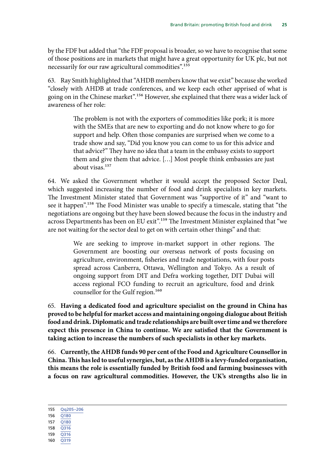by the FDF but added that "the FDF proposal is broader, so we have to recognise that some of those positions are in markets that might have a great opportunity for UK plc, but not necessarily for our raw agricultural commodities".<sup>155</sup>

63. Ray Smith highlighted that "AHDB members know that we exist" because she worked "closely with AHDB at trade conferences, and we keep each other apprised of what is going on in the Chinese market".156 However, she explained that there was a wider lack of awareness of her role:

> The problem is not with the exporters of commodities like pork; it is more with the SMEs that are new to exporting and do not know where to go for support and help. Often those companies are surprised when we come to a trade show and say, "Did you know you can come to us for this advice and that advice?" They have no idea that a team in the embassy exists to support them and give them that advice. […] Most people think embassies are just about visas.157

64. We asked the Government whether it would accept the proposed Sector Deal, which suggested increasing the number of food and drink specialists in key markets. The Investment Minister stated that Government was "supportive of it" and "want to see it happen".<sup>158</sup> The Food Minister was unable to specify a timescale, stating that "the negotiations are ongoing but they have been slowed because the focus in the industry and across Departments has been on EU exit".<sup>159</sup> The Investment Minister explained that "we are not waiting for the sector deal to get on with certain other things" and that:

> We are seeking to improve in-market support in other regions. The Government are boosting our overseas network of posts focusing on agriculture, environment, fisheries and trade negotiations, with four posts spread across Canberra, Ottawa, Wellington and Tokyo. As a result of ongoing support from DIT and Defra working together, DIT Dubai will access regional FCO funding to recruit an agriculture, food and drink counsellor for the Gulf region.<sup>160</sup>

65. **Having a dedicated food and agriculture specialist on the ground in China has proved to be helpful for market access and maintaining ongoing dialogue about British food and drink. Diplomatic and trade relationships are built over time and we therefore expect this presence in China to continue. We are satisfied that the Government is taking action to increase the numbers of such specialists in other key markets.**

66. **Currently, the AHDB funds 90 per cent of the Food and Agriculture Counsellor in China. This has led to useful synergies, but, as the AHDB is a levy-funded organisation, this means the role is essentially funded by British food and farming businesses with a focus on raw agricultural commodities. However, the UK's strengths also lie in** 

<sup>155</sup> [Qq205–206](http://data.parliament.uk/writtenevidence/committeeevidence.svc/evidencedocument/environment-food-and-rural-affairs-committee/brand-britain-promoting-and-marketing-british-food-and-drink/oral/96752.html)

<sup>156</sup> [Q180](http://data.parliament.uk/writtenevidence/committeeevidence.svc/evidencedocument/environment-food-and-rural-affairs-committee/brand-britain-promoting-and-marketing-british-food-and-drink/oral/96752.html)

<sup>157</sup> [Q180](http://data.parliament.uk/writtenevidence/committeeevidence.svc/evidencedocument/environment-food-and-rural-affairs-committee/brand-britain-promoting-and-marketing-british-food-and-drink/oral/96752.html)

<sup>158</sup> [Q316](http://data.parliament.uk/writtenevidence/committeeevidence.svc/evidencedocument/environment-food-and-rural-affairs-committee/brand-britain-promoting-and-marketing-british-food-and-drink/oral/98000.html)

<sup>159</sup> [Q316](http://data.parliament.uk/writtenevidence/committeeevidence.svc/evidencedocument/environment-food-and-rural-affairs-committee/brand-britain-promoting-and-marketing-british-food-and-drink/oral/98000.html)

<sup>160</sup> [Q319](http://data.parliament.uk/writtenevidence/committeeevidence.svc/evidencedocument/environment-food-and-rural-affairs-committee/brand-britain-promoting-and-marketing-british-food-and-drink/oral/98000.html)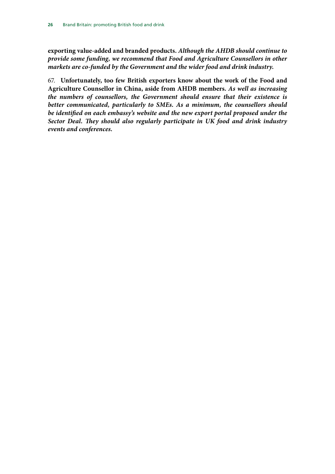**exporting value-added and branded products.** *Although the AHDB should continue to provide some funding, we recommend that Food and Agriculture Counsellors in other markets are co-funded by the Government and the wider food and drink industry.*

67. **Unfortunately, too few British exporters know about the work of the Food and Agriculture Counsellor in China, aside from AHDB members.** *As well as increasing the numbers of counsellors, the Government should ensure that their existence is better communicated, particularly to SMEs. As a minimum, the counsellors should be identified on each embassy's website and the new export portal proposed under the Sector Deal. They should also regularly participate in UK food and drink industry events and conferences.*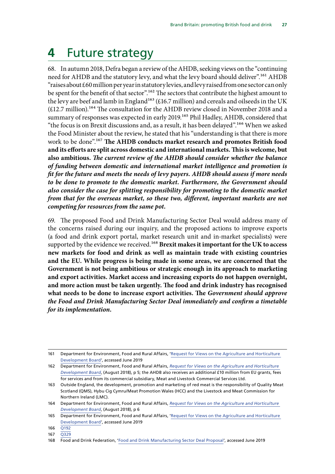## <span id="page-28-0"></span>**4** Future strategy

68. In autumn 2018, Defra began a review of the AHDB, seeking views on the "continuing need for AHDB and the statutory levy, and what the levy board should deliver".<sup>161</sup> AHDB "raises about £60 million per year in statutory levies, and levy raised from one sector can only be spent for the benefit of that sector".<sup>162</sup> The sectors that contribute the highest amount to the levy are beef and lamb in England<sup>163</sup> (£16.7 million) and cereals and oilseeds in the UK (£12.7 million).<sup>164</sup> The consultation for the AHDB review closed in November 2018 and a summary of responses was expected in early 2019.<sup>165</sup> Phil Hadley, AHDB, considered that "the focus is on Brexit discussions and, as a result, it has been delayed".<sup>166</sup> When we asked the Food Minister about the review, he stated that his "understanding is that there is more work to be done".167 **The AHDB conducts market research and promotes British food and its efforts are split across domestic and international markets. This is welcome, but also ambitious.** *The current review of the AHDB should consider whether the balance of funding between domestic and international market intelligence and promotion is fit for the future and meets the needs of levy payers. AHDB should assess if more needs to be done to promote to the domestic market. Furthermore, the Government should also consider the case for splitting responsibility for promoting to the domestic market from that for the overseas market, so these two, different, important markets are not competing for resources from the same pot.*

69. The proposed Food and Drink Manufacturing Sector Deal would address many of the concerns raised during our inquiry, and the proposed actions to improve exports (a food and drink export portal, market research unit and in-market specialists) were supported by the evidence we received.168 **Brexit makes it important for the UK to access new markets for food and drink as well as maintain trade with existing countries and the EU. While progress is being made in some areas, we are concerned that the Government is not being ambitious or strategic enough in its approach to marketing and export activities. Market access and increasing exports do not happen overnight, and more action must be taken urgently. The food and drink industry has recognised what needs to be done to increase export activities. The** *Government should approve the Food and Drink Manufacturing Sector Deal immediately and confirm a timetable for its implementation.*

<sup>161</sup> Department for Environment, Food and Rural Affairs, '[Request for Views on the Agriculture and Horticulture](https://consult.defra.gov.uk/farming/views-on-ahdb/)  [Development Board](https://consult.defra.gov.uk/farming/views-on-ahdb/)', accessed June 2019

<sup>162</sup> Department for Environment, Food and Rural Affairs, *[Request for Views on the Agriculture and Horticulture](https://consult.defra.gov.uk/farming/views-on-ahdb/supporting_documents/AHDB%20Request%20for%20Views%20on%20AHDB%20Aug%202018.pdf)  [Development Board](https://consult.defra.gov.uk/farming/views-on-ahdb/supporting_documents/AHDB%20Request%20for%20Views%20on%20AHDB%20Aug%202018.pdf)*, (August 2018), p 5; the AHDB also receives an additional £10 million from EU grants, fees for services and from its commercial subsidiary, Meat and Livestock Commercial Services Ltd.

<sup>163</sup> Outside England, the development, promotion and marketing of red meat is the responsibility of Quality Meat Scotland (QMS), Hybu Cig Cymru/Meat Promotion Wales (HCC) and the Livestock and Meat Commission for Northern Ireland (LMC).

<sup>164</sup> Department for Environment, Food and Rural Affairs, *[Request for Views on the Agriculture and Horticulture](https://consult.defra.gov.uk/farming/views-on-ahdb/supporting_documents/AHDB%20Request%20for%20Views%20on%20AHDB%20Aug%202018.pdf)  [Development Board](https://consult.defra.gov.uk/farming/views-on-ahdb/supporting_documents/AHDB%20Request%20for%20Views%20on%20AHDB%20Aug%202018.pdf)*, (August 2018), p 6

<sup>165</sup> Department for Environment, Food and Rural Affairs, '[Request for Views on the Agriculture and Horticulture](https://consult.defra.gov.uk/farming/views-on-ahdb/)  [Development Board](https://consult.defra.gov.uk/farming/views-on-ahdb/)', accessed June 2019

<sup>166</sup> [Q192](http://data.parliament.uk/writtenevidence/committeeevidence.svc/evidencedocument/environment-food-and-rural-affairs-committee/brand-britain-promoting-and-marketing-british-food-and-drink/oral/96752.html)

<sup>167</sup> [Q329](http://data.parliament.uk/writtenevidence/committeeevidence.svc/evidencedocument/environment-food-and-rural-affairs-committee/brand-britain-promoting-and-marketing-british-food-and-drink/oral/98000.html)

<sup>168</sup> Food and Drink Federation, '[Food and Drink Manufacturing Sector Deal Proposal'](https://www.fdf.org.uk/food-and-drink-manufacturing-sector-deal.aspx), accessed June 2019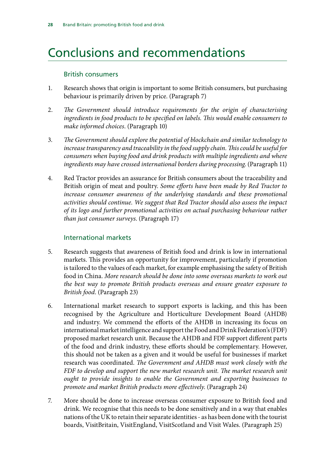## <span id="page-29-0"></span>Conclusions and recommendations

### British consumers

- 1. Research shows that origin is important to some British consumers, but purchasing behaviour is primarily driven by price. (Paragraph 7)
- 2. *The Government should introduce requirements for the origin of characterising ingredients in food products to be specified on labels. This would enable consumers to make informed choices*. (Paragraph 10)
- 3. *The Government should explore the potential of blockchain and similar technology to increase transparency and traceability in the food supply chain. This could be useful for consumers when buying food and drink products with multiple ingredients and where ingredients may have crossed international borders during processing*. (Paragraph 11)
- 4. Red Tractor provides an assurance for British consumers about the traceability and British origin of meat and poultry. *Some efforts have been made by Red Tractor to*  increase consumer awareness of the underlying standards and these promotional *activities should continue. We suggest that Red Tractor should also assess the impact of its logo and further promotional activities on actual purchasing behaviour rather than just consumer surveys*. (Paragraph 17)

### International markets

- 5. Research suggests that awareness of British food and drink is low in international markets. This provides an opportunity for improvement, particularly if promotion is tailored to the values of each market, for example emphasising the safety of British food in China. *More research should be done into some overseas markets to work out the best way to promote British products overseas and ensure greater exposure to British food*. (Paragraph 23)
- 6. International market research to support exports is lacking, and this has been recognised by the Agriculture and Horticulture Development Board (AHDB) and industry. We commend the efforts of the AHDB in increasing its focus on international market intelligence and support the Food and Drink Federation's (FDF) proposed market research unit. Because the AHDB and FDF support different parts of the food and drink industry, these efforts should be complementary. However, this should not be taken as a given and it would be useful for businesses if market research was coordinated. *The Government and AHDB must work closely with the FDF to develop and support the new market research unit. The market research unit ought to provide insights to enable the Government and exporting businesses to promote and market British products more effectively*. (Paragraph 24)
- 7. More should be done to increase overseas consumer exposure to British food and drink. We recognise that this needs to be done sensitively and in a way that enables nations of the UK to retain their separate identities - as has been done with the tourist boards, VisitBritain, VisitEngland, VisitScotland and Visit Wales. (Paragraph 25)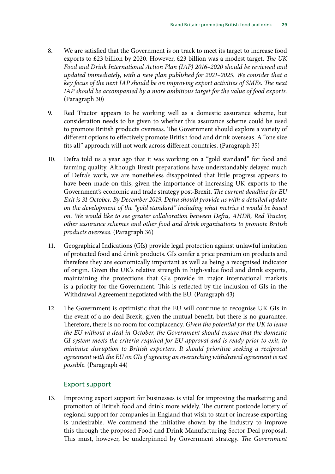- 8. We are satisfied that the Government is on track to meet its target to increase food exports to £23 billion by 2020. However, £23 billion was a modest target. *The UK Food and Drink International Action Plan (IAP) 2016–2020 should be reviewed and updated immediately, with a new plan published for 2021–2025. We consider that a key focus of the next IAP should be on improving export activities of SMEs. The next IAP should be accompanied by a more ambitious target for the value of food exports*. (Paragraph 30)
- 9. Red Tractor appears to be working well as a domestic assurance scheme, but consideration needs to be given to whether this assurance scheme could be used to promote British products overseas. The Government should explore a variety of different options to effectively promote British food and drink overseas. A "one size fits all" approach will not work across different countries. (Paragraph 35)
- 10. Defra told us a year ago that it was working on a "gold standard" for food and farming quality. Although Brexit preparations have understandably delayed much of Defra's work, we are nonetheless disappointed that little progress appears to have been made on this, given the importance of increasing UK exports to the Government's economic and trade strategy post-Brexit. *The current deadline for EU Exit is 31 October. By December 2019, Defra should provide us with a detailed update on the development of the "gold standard" including what metrics it would be based on. We would like to see greater collaboration between Defra, AHDB, Red Tractor, other assurance schemes and other food and drink organisations to promote British products overseas*. (Paragraph 36)
- 11. Geographical Indications (GIs) provide legal protection against unlawful imitation of protected food and drink products. GIs confer a price premium on products and therefore they are economically important as well as being a recognised indicator of origin. Given the UK's relative strength in high-value food and drink exports, maintaining the protections that GIs provide in major international markets is a priority for the Government. This is reflected by the inclusion of GIs in the Withdrawal Agreement negotiated with the EU. (Paragraph 43)
- 12. The Government is optimistic that the EU will continue to recognise UK GIs in the event of a no-deal Brexit, given the mutual benefit, but there is no guarantee. Therefore, there is no room for complacency. *Given the potential for the UK to leave the EU without a deal in October, the Government should ensure that the domestic GI system meets the criteria required for EU approval and is ready prior to exit, to minimise disruption to British exporters. It should prioritise seeking a reciprocal agreement with the EU on GIs if agreeing an overarching withdrawal agreement is not possible*. (Paragraph 44)

### Export support

13. Improving export support for businesses is vital for improving the marketing and promotion of British food and drink more widely. The current postcode lottery of regional support for companies in England that wish to start or increase exporting is undesirable. We commend the initiative shown by the industry to improve this through the proposed Food and Drink Manufacturing Sector Deal proposal. This must, however, be underpinned by Government strategy. *The Government*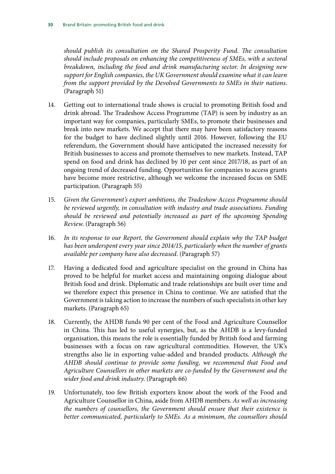*should publish its consultation on the Shared Prosperity Fund. The consultation should include proposals on enhancing the competitiveness of SMEs, with a sectoral breakdown, including the food and drink manufacturing sector. In designing new support for English companies, the UK Government should examine what it can learn from the support provided by the Devolved Governments to SMEs in their nations*. (Paragraph 51)

- 14. Getting out to international trade shows is crucial to promoting British food and drink abroad. The Tradeshow Access Programme (TAP) is seen by industry as an important way for companies, particularly SMEs, to promote their businesses and break into new markets. We accept that there may have been satisfactory reasons for the budget to have declined slightly until 2016. However, following the EU referendum, the Government should have anticipated the increased necessity for British businesses to access and promote themselves to new markets. Instead, TAP spend on food and drink has declined by 10 per cent since 2017/18, as part of an ongoing trend of decreased funding. Opportunities for companies to access grants have become more restrictive, although we welcome the increased focus on SME participation. (Paragraph 55)
- 15. *Given the Government's export ambitions, the Tradeshow Access Programme should be reviewed urgently, in consultation with industry and trade associations. Funding should be reviewed and potentially increased as part of the upcoming Spending Review*. (Paragraph 56)
- 16. *In its response to our Report, the Government should explain why the TAP budget has been underspent every year since 2014/15, particularly when the number of grants available per company have also decreased*. (Paragraph 57)
- 17. Having a dedicated food and agriculture specialist on the ground in China has proved to be helpful for market access and maintaining ongoing dialogue about British food and drink. Diplomatic and trade relationships are built over time and we therefore expect this presence in China to continue. We are satisfied that the Government is taking action to increase the numbers of such specialists in other key markets. (Paragraph 65)
- 18. Currently, the AHDB funds 90 per cent of the Food and Agriculture Counsellor in China. This has led to useful synergies, but, as the AHDB is a levy-funded organisation, this means the role is essentially funded by British food and farming businesses with a focus on raw agricultural commodities. However, the UK's strengths also lie in exporting value-added and branded products. *Although the AHDB should continue to provide some funding, we recommend that Food and Agriculture Counsellors in other markets are co-funded by the Government and the wider food and drink industry*. (Paragraph 66)
- 19. Unfortunately, too few British exporters know about the work of the Food and Agriculture Counsellor in China, aside from AHDB members. *As well as increasing the numbers of counsellors, the Government should ensure that their existence is better communicated, particularly to SMEs. As a minimum, the counsellors should*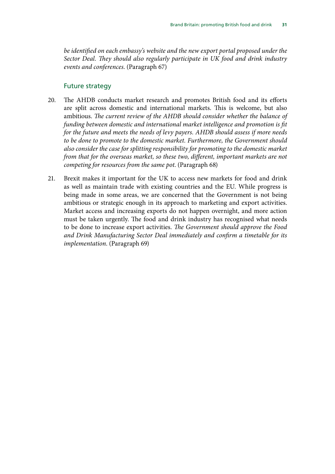*be identified on each embassy's website and the new export portal proposed under the Sector Deal. They should also regularly participate in UK food and drink industry events and conferences*. (Paragraph 67)

### Future strategy

- 20. The AHDB conducts market research and promotes British food and its efforts are split across domestic and international markets. This is welcome, but also ambitious. *The current review of the AHDB should consider whether the balance of funding between domestic and international market intelligence and promotion is fit for the future and meets the needs of levy payers. AHDB should assess if more needs to be done to promote to the domestic market. Furthermore, the Government should also consider the case for splitting responsibility for promoting to the domestic market from that for the overseas market, so these two, different, important markets are not competing for resources from the same pot*. (Paragraph 68)
- 21. Brexit makes it important for the UK to access new markets for food and drink as well as maintain trade with existing countries and the EU. While progress is being made in some areas, we are concerned that the Government is not being ambitious or strategic enough in its approach to marketing and export activities. Market access and increasing exports do not happen overnight, and more action must be taken urgently. The food and drink industry has recognised what needs to be done to increase export activities. *The Government should approve the Food and Drink Manufacturing Sector Deal immediately and confirm a timetable for its implementation*. (Paragraph 69)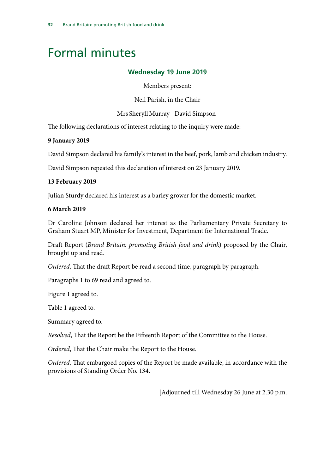### <span id="page-33-0"></span>Formal minutes

### **Wednesday 19 June 2019**

Members present:

Neil Parish, in the Chair

Mrs Sheryll Murray David Simpson

The following declarations of interest relating to the inquiry were made:

### **9 January 2019**

David Simpson declared his family's interest in the beef, pork, lamb and chicken industry.

David Simpson repeated this declaration of interest on 23 January 2019.

### **13 February 2019**

Julian Sturdy declared his interest as a barley grower for the domestic market.

### **6 March 2019**

Dr Caroline Johnson declared her interest as the Parliamentary Private Secretary to Graham Stuart MP, Minister for Investment, Department for International Trade.

Draft Report (*Brand Britain: promoting British food and drink*) proposed by the Chair, brought up and read.

*Ordered*, That the draft Report be read a second time, paragraph by paragraph.

Paragraphs 1 to 69 read and agreed to.

Figure 1 agreed to.

Table 1 agreed to.

Summary agreed to.

*Resolved*, That the Report be the Fifteenth Report of the Committee to the House.

*Ordered*, That the Chair make the Report to the House.

*Ordered*, That embargoed copies of the Report be made available, in accordance with the provisions of Standing Order No. 134.

[Adjourned till Wednesday 26 June at 2.30 p.m.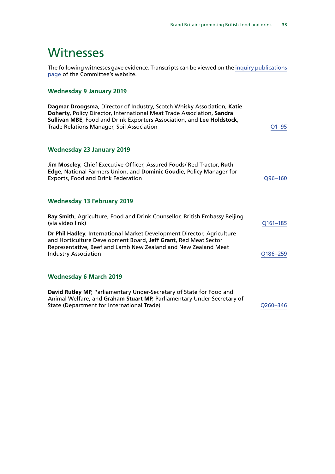### <span id="page-34-0"></span>**Witnesses**

The following witnesses gave evidence. Transcripts can be viewed on the [inquiry publications](https://www.parliament.uk/business/committees/committees-a-z/commons-select/environment-food-and-rural-affairs-committee/inquiries/parliament-2017/brand-britain-17-19/publications/) [page](https://www.parliament.uk/business/committees/committees-a-z/commons-select/environment-food-and-rural-affairs-committee/inquiries/parliament-2017/brand-britain-17-19/publications/) of the Committee's website.

### **Wednesday 9 January 2019**

| Dagmar Droogsma, Director of Industry, Scotch Whisky Association, Katie<br>Doherty, Policy Director, International Meat Trade Association, Sandra<br>Sullivan MBE, Food and Drink Exporters Association, and Lee Holdstock,<br><b>Trade Relations Manager, Soil Association</b> | Q1-95       |
|---------------------------------------------------------------------------------------------------------------------------------------------------------------------------------------------------------------------------------------------------------------------------------|-------------|
| <b>Wednesday 23 January 2019</b>                                                                                                                                                                                                                                                |             |
| Jim Moseley, Chief Executive Officer, Assured Foods/ Red Tractor, Ruth<br><b>Edge, National Farmers Union, and Dominic Goudie, Policy Manager for</b><br><b>Exports, Food and Drink Federation</b>                                                                              | $Q96 - 160$ |
| <b>Wednesday 13 February 2019</b>                                                                                                                                                                                                                                               |             |
| Ray Smith, Agriculture, Food and Drink Counsellor, British Embassy Beijing<br>(via video link)                                                                                                                                                                                  | Q161-185    |
| Dr Phil Hadley, International Market Development Director, Agriculture<br>and Horticulture Development Board, Jeff Grant, Red Meat Sector<br>Representative, Beef and Lamb New Zealand and New Zealand Meat<br><b>Industry Association</b>                                      | Q186-259    |
| <b>Wednesday 6 March 2019</b>                                                                                                                                                                                                                                                   |             |
| David Rutley MP, Parliamentary Under-Secretary of State for Food and<br>Animal Welfare, and Graham Stuart MP, Parliamentary Under-Secretary of<br>State (Department for International Trade)                                                                                    | Q260-346    |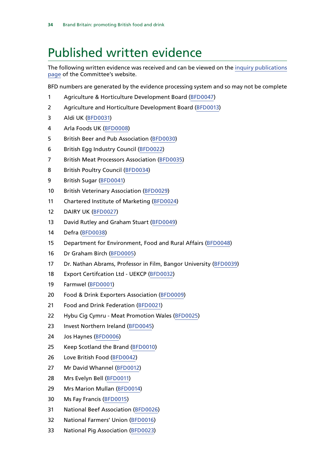### <span id="page-35-0"></span>Published written evidence

The following written evidence was received and can be viewed on the [inquiry publications](https://www.parliament.uk/business/committees/committees-a-z/commons-select/environment-food-and-rural-affairs-committee/inquiries/parliament-2017/brand-britain-17-19/publications/) [page](https://www.parliament.uk/business/committees/committees-a-z/commons-select/environment-food-and-rural-affairs-committee/inquiries/parliament-2017/brand-britain-17-19/publications/) of the Committee's website.

BFD numbers are generated by the evidence processing system and so may not be complete

- Agriculture & Horticulture Development Board ([BFD0047\)](http://data.parliament.uk/WrittenEvidence/CommitteeEvidence.svc/EvidenceDocument/Environment,%20Food%20and%20Rural%20Affairs/Brand%20Britain%20Promoting%20and%20Marketing%20British%20food%20and%20drink/written/97937.html)
- Agriculture and Horticulture Development Board [\(BFD0013](http://data.parliament.uk/WrittenEvidence/CommitteeEvidence.svc/EvidenceDocument/Environment,%20Food%20and%20Rural%20Affairs/Brand%20Britain%20Promoting%20and%20Marketing%20British%20food%20and%20drink/written/84571.html))
- Aldi UK [\(BFD0031](http://data.parliament.uk/WrittenEvidence/CommitteeEvidence.svc/EvidenceDocument/Environment,%20Food%20and%20Rural%20Affairs/Brand%20Britain%20Promoting%20and%20Marketing%20British%20food%20and%20drink/written/84754.html))
- Arla Foods UK [\(BFD0008\)](http://data.parliament.uk/WrittenEvidence/CommitteeEvidence.svc/EvidenceDocument/Environment,%20Food%20and%20Rural%20Affairs/Brand%20Britain%20Promoting%20and%20Marketing%20British%20food%20and%20drink/written/84190.html)
- British Beer and Pub Association [\(BFD0030\)](http://data.parliament.uk/WrittenEvidence/CommitteeEvidence.svc/EvidenceDocument/Environment,%20Food%20and%20Rural%20Affairs/Brand%20Britain%20Promoting%20and%20Marketing%20British%20food%20and%20drink/written/84743.html)
- British Egg Industry Council [\(BFD0022](http://data.parliament.uk/WrittenEvidence/CommitteeEvidence.svc/EvidenceDocument/Environment,%20Food%20and%20Rural%20Affairs/Brand%20Britain%20Promoting%20and%20Marketing%20British%20food%20and%20drink/written/84665.html))
- British Meat Processors Association [\(BFD0035](http://data.parliament.uk/WrittenEvidence/CommitteeEvidence.svc/EvidenceDocument/Environment,%20Food%20and%20Rural%20Affairs/Brand%20Britain%20Promoting%20and%20Marketing%20British%20food%20and%20drink/written/84809.html))
- British Poultry Council ([BFD0034\)](http://data.parliament.uk/WrittenEvidence/CommitteeEvidence.svc/EvidenceDocument/Environment,%20Food%20and%20Rural%20Affairs/Brand%20Britain%20Promoting%20and%20Marketing%20British%20food%20and%20drink/written/84764.html)
- British Sugar ([BFD0041\)](http://data.parliament.uk/WrittenEvidence/CommitteeEvidence.svc/EvidenceDocument/Environment,%20Food%20and%20Rural%20Affairs/Brand%20Britain%20Promoting%20and%20Marketing%20British%20food%20and%20drink/written/86050.html)
- 10 British Veterinary Association ([BFD0029\)](http://data.parliament.uk/WrittenEvidence/CommitteeEvidence.svc/EvidenceDocument/Environment,%20Food%20and%20Rural%20Affairs/Brand%20Britain%20Promoting%20and%20Marketing%20British%20food%20and%20drink/written/84740.html)
- Chartered Institute of Marketing [\(BFD0024\)](http://data.parliament.uk/WrittenEvidence/CommitteeEvidence.svc/EvidenceDocument/Environment,%20Food%20and%20Rural%20Affairs/Brand%20Britain%20Promoting%20and%20Marketing%20British%20food%20and%20drink/written/84683.html)
- DAIRY UK ([BFD0027\)](http://data.parliament.uk/WrittenEvidence/CommitteeEvidence.svc/EvidenceDocument/Environment,%20Food%20and%20Rural%20Affairs/Brand%20Britain%20Promoting%20and%20Marketing%20British%20food%20and%20drink/written/84721.html)
- 13 David Rutley and Graham Stuart [\(BFD0049\)](http://data.parliament.uk/WrittenEvidence/CommitteeEvidence.svc/EvidenceDocument/Environment,%20Food%20and%20Rural%20Affairs/Brand%20Britain%20Promoting%20and%20Marketing%20British%20food%20and%20drink/written/101788.html)
- Defra ([BFD0038\)](http://data.parliament.uk/WrittenEvidence/CommitteeEvidence.svc/EvidenceDocument/Environment,%20Food%20and%20Rural%20Affairs/Brand%20Britain%20Promoting%20and%20Marketing%20British%20food%20and%20drink/written/85451.html)
- Department for Environment, Food and Rural Affairs ([BFD0048](http://data.parliament.uk/WrittenEvidence/CommitteeEvidence.svc/EvidenceDocument/Environment,%20Food%20and%20Rural%20Affairs/Brand%20Britain%20Promoting%20and%20Marketing%20British%20food%20and%20drink/written/99277.html))
- Dr Graham Birch ([BFD0005](http://data.parliament.uk/WrittenEvidence/CommitteeEvidence.svc/EvidenceDocument/Environment,%20Food%20and%20Rural%20Affairs/Brand%20Britain%20Promoting%20and%20Marketing%20British%20food%20and%20drink/written/83973.html))
- Dr. Nathan Abrams, Professor in Film, Bangor University ([BFD0039\)](http://data.parliament.uk/WrittenEvidence/CommitteeEvidence.svc/EvidenceDocument/Environment,%20Food%20and%20Rural%20Affairs/Brand%20Britain%20Promoting%20and%20Marketing%20British%20food%20and%20drink/written/86047.html)
- Export Certifcation Ltd UEKCP [\(BFD0032](http://data.parliament.uk/WrittenEvidence/CommitteeEvidence.svc/EvidenceDocument/Environment,%20Food%20and%20Rural%20Affairs/Brand%20Britain%20Promoting%20and%20Marketing%20British%20food%20and%20drink/written/84761.html))
- Farmwel [\(BFD0001\)](http://data.parliament.uk/WrittenEvidence/CommitteeEvidence.svc/EvidenceDocument/Environment,%20Food%20and%20Rural%20Affairs/Brand%20Britain%20Promoting%20and%20Marketing%20British%20food%20and%20drink/written/82988.html)
- Food & Drink Exporters Association [\(BFD0009\)](http://data.parliament.uk/WrittenEvidence/CommitteeEvidence.svc/EvidenceDocument/Environment,%20Food%20and%20Rural%20Affairs/Brand%20Britain%20Promoting%20and%20Marketing%20British%20food%20and%20drink/written/84293.html)
- Food and Drink Federation ([BFD0021\)](http://data.parliament.uk/WrittenEvidence/CommitteeEvidence.svc/EvidenceDocument/Environment,%20Food%20and%20Rural%20Affairs/Brand%20Britain%20Promoting%20and%20Marketing%20British%20food%20and%20drink/written/84661.html)
- Hybu Cig Cymru Meat Promotion Wales ([BFD0025\)](http://data.parliament.uk/WrittenEvidence/CommitteeEvidence.svc/EvidenceDocument/Environment,%20Food%20and%20Rural%20Affairs/Brand%20Britain%20Promoting%20and%20Marketing%20British%20food%20and%20drink/written/84713.html)
- Invest Northern Ireland ([BFD0045](http://data.parliament.uk/WrittenEvidence/CommitteeEvidence.svc/EvidenceDocument/Environment,%20Food%20and%20Rural%20Affairs/Brand%20Britain%20Promoting%20and%20Marketing%20British%20food%20and%20drink/written/91957.html))
- Jos Haynes ([BFD0006](http://data.parliament.uk/WrittenEvidence/CommitteeEvidence.svc/EvidenceDocument/Environment,%20Food%20and%20Rural%20Affairs/Brand%20Britain%20Promoting%20and%20Marketing%20British%20food%20and%20drink/written/84013.html))
- Keep Scotland the Brand [\(BFD0010\)](http://data.parliament.uk/WrittenEvidence/CommitteeEvidence.svc/EvidenceDocument/Environment,%20Food%20and%20Rural%20Affairs/Brand%20Britain%20Promoting%20and%20Marketing%20British%20food%20and%20drink/written/84470.html)
- Love British Food ([BFD0042\)](http://data.parliament.uk/WrittenEvidence/CommitteeEvidence.svc/EvidenceDocument/Environment,%20Food%20and%20Rural%20Affairs/Brand%20Britain%20Promoting%20and%20Marketing%20British%20food%20and%20drink/written/86386.html)
- Mr David Whannel ([BFD0012\)](http://data.parliament.uk/WrittenEvidence/CommitteeEvidence.svc/EvidenceDocument/Environment,%20Food%20and%20Rural%20Affairs/Brand%20Britain%20Promoting%20and%20Marketing%20British%20food%20and%20drink/written/84564.html)
- Mrs Evelyn Bell ([BFD0011](http://data.parliament.uk/WrittenEvidence/CommitteeEvidence.svc/EvidenceDocument/Environment,%20Food%20and%20Rural%20Affairs/Brand%20Britain%20Promoting%20and%20Marketing%20British%20food%20and%20drink/written/84544.html))
- Mrs Marion Mullan [\(BFD0014](http://data.parliament.uk/WrittenEvidence/CommitteeEvidence.svc/EvidenceDocument/Environment,%20Food%20and%20Rural%20Affairs/Brand%20Britain%20Promoting%20and%20Marketing%20British%20food%20and%20drink/written/84583.html))
- Ms Fay Francis [\(BFD0015\)](http://data.parliament.uk/WrittenEvidence/CommitteeEvidence.svc/EvidenceDocument/Environment,%20Food%20and%20Rural%20Affairs/Brand%20Britain%20Promoting%20and%20Marketing%20British%20food%20and%20drink/written/84586.html)
- National Beef Association ([BFD0026\)](http://data.parliament.uk/WrittenEvidence/CommitteeEvidence.svc/EvidenceDocument/Environment,%20Food%20and%20Rural%20Affairs/Brand%20Britain%20Promoting%20and%20Marketing%20British%20food%20and%20drink/written/84714.html)
- National Farmers' Union [\(BFD0016\)](http://data.parliament.uk/WrittenEvidence/CommitteeEvidence.svc/EvidenceDocument/Environment,%20Food%20and%20Rural%20Affairs/Brand%20Britain%20Promoting%20and%20Marketing%20British%20food%20and%20drink/written/84592.html)
- National Pig Association ([BFD0023\)](http://data.parliament.uk/WrittenEvidence/CommitteeEvidence.svc/EvidenceDocument/Environment,%20Food%20and%20Rural%20Affairs/Brand%20Britain%20Promoting%20and%20Marketing%20British%20food%20and%20drink/written/84679.html)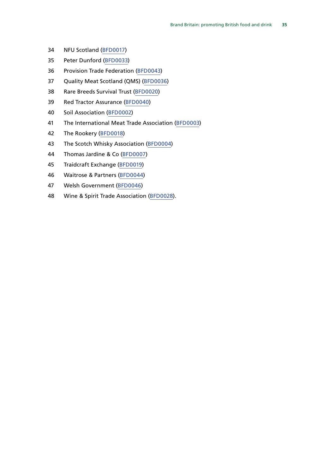- NFU Scotland ([BFD0017](http://data.parliament.uk/WrittenEvidence/CommitteeEvidence.svc/EvidenceDocument/Environment,%20Food%20and%20Rural%20Affairs/Brand%20Britain%20Promoting%20and%20Marketing%20British%20food%20and%20drink/written/84594.html))
- Peter Dunford [\(BFD0033](http://data.parliament.uk/WrittenEvidence/CommitteeEvidence.svc/EvidenceDocument/Environment,%20Food%20and%20Rural%20Affairs/Brand%20Britain%20Promoting%20and%20Marketing%20British%20food%20and%20drink/written/84763.html))
- Provision Trade Federation [\(BFD0043](http://data.parliament.uk/WrittenEvidence/CommitteeEvidence.svc/EvidenceDocument/Environment,%20Food%20and%20Rural%20Affairs/Brand%20Britain%20Promoting%20and%20Marketing%20British%20food%20and%20drink/written/91953.html))
- Quality Meat Scotland (QMS) ([BFD0036\)](http://data.parliament.uk/WrittenEvidence/CommitteeEvidence.svc/EvidenceDocument/Environment,%20Food%20and%20Rural%20Affairs/Brand%20Britain%20Promoting%20and%20Marketing%20British%20food%20and%20drink/written/84819.html)
- Rare Breeds Survival Trust ([BFD0020\)](http://data.parliament.uk/WrittenEvidence/CommitteeEvidence.svc/EvidenceDocument/Environment,%20Food%20and%20Rural%20Affairs/Brand%20Britain%20Promoting%20and%20Marketing%20British%20food%20and%20drink/written/84658.html)
- Red Tractor Assurance [\(BFD0040\)](http://data.parliament.uk/WrittenEvidence/CommitteeEvidence.svc/EvidenceDocument/Environment,%20Food%20and%20Rural%20Affairs/Brand%20Britain%20Promoting%20and%20Marketing%20British%20food%20and%20drink/written/86049.html)
- Soil Association [\(BFD0002](http://data.parliament.uk/WrittenEvidence/CommitteeEvidence.svc/EvidenceDocument/Environment,%20Food%20and%20Rural%20Affairs/Brand%20Britain%20Promoting%20and%20Marketing%20British%20food%20and%20drink/written/83240.html))
- The International Meat Trade Association [\(BFD0003](http://data.parliament.uk/WrittenEvidence/CommitteeEvidence.svc/EvidenceDocument/Environment,%20Food%20and%20Rural%20Affairs/Brand%20Britain%20Promoting%20and%20Marketing%20British%20food%20and%20drink/written/83430.html))
- The Rookery [\(BFD0018\)](http://data.parliament.uk/WrittenEvidence/CommitteeEvidence.svc/EvidenceDocument/Environment,%20Food%20and%20Rural%20Affairs/Brand%20Britain%20Promoting%20and%20Marketing%20British%20food%20and%20drink/written/84596.html)
- The Scotch Whisky Association ([BFD0004](http://data.parliament.uk/WrittenEvidence/CommitteeEvidence.svc/EvidenceDocument/Environment,%20Food%20and%20Rural%20Affairs/Brand%20Britain%20Promoting%20and%20Marketing%20British%20food%20and%20drink/written/83884.html))
- Thomas Jardine & Co ([BFD0007\)](http://data.parliament.uk/WrittenEvidence/CommitteeEvidence.svc/EvidenceDocument/Environment,%20Food%20and%20Rural%20Affairs/Brand%20Britain%20Promoting%20and%20Marketing%20British%20food%20and%20drink/written/84135.html)
- Traidcraft Exchange [\(BFD0019](http://data.parliament.uk/WrittenEvidence/CommitteeEvidence.svc/EvidenceDocument/Environment,%20Food%20and%20Rural%20Affairs/Brand%20Britain%20Promoting%20and%20Marketing%20British%20food%20and%20drink/written/84657.html))
- Waitrose & Partners ([BFD0044](http://data.parliament.uk/WrittenEvidence/CommitteeEvidence.svc/EvidenceDocument/Environment,%20Food%20and%20Rural%20Affairs/Brand%20Britain%20Promoting%20and%20Marketing%20British%20food%20and%20drink/written/91954.html))
- Welsh Government [\(BFD0046\)](http://data.parliament.uk/WrittenEvidence/CommitteeEvidence.svc/EvidenceDocument/Environment,%20Food%20and%20Rural%20Affairs/Brand%20Britain%20Promoting%20and%20Marketing%20British%20food%20and%20drink/written/92313.html)
- Wine & Spirit Trade Association [\(BFD0028](http://data.parliament.uk/WrittenEvidence/CommitteeEvidence.svc/EvidenceDocument/Environment,%20Food%20and%20Rural%20Affairs/Brand%20Britain%20Promoting%20and%20Marketing%20British%20food%20and%20drink/written/84730.html)).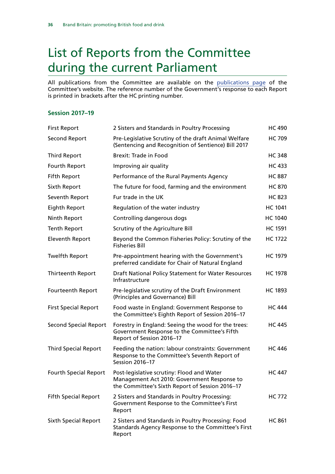## <span id="page-37-0"></span>List of Reports from the Committee during the current Parliament

All publications from the Committee are available on the [publications page](https://www.parliament.uk/business/committees/committees-a-z/commons-select/environment-food-and-rural-affairs-committee/publications/) of the Committee's website. The reference number of the Government's response to each Report is printed in brackets after the HC printing number.

### **Session 2017–19**

| <b>First Report</b>          | 2 Sisters and Standards in Poultry Processing                                                                                                | <b>HC 490</b>  |
|------------------------------|----------------------------------------------------------------------------------------------------------------------------------------------|----------------|
| <b>Second Report</b>         | Pre-Legislative Scrutiny of the draft Animal Welfare<br>(Sentencing and Recognition of Sentience) Bill 2017                                  | <b>HC 709</b>  |
| <b>Third Report</b>          | <b>Brexit: Trade in Food</b>                                                                                                                 | <b>HC 348</b>  |
| Fourth Report                | Improving air quality                                                                                                                        | <b>HC 433</b>  |
| <b>Fifth Report</b>          | Performance of the Rural Payments Agency                                                                                                     | <b>HC 887</b>  |
| Sixth Report                 | The future for food, farming and the environment                                                                                             | <b>HC 870</b>  |
| Seventh Report               | Fur trade in the UK                                                                                                                          | <b>HC 823</b>  |
| Eighth Report                | Regulation of the water industry                                                                                                             | <b>HC 1041</b> |
| Ninth Report                 | Controlling dangerous dogs                                                                                                                   | <b>HC 1040</b> |
| <b>Tenth Report</b>          | Scrutiny of the Agriculture Bill                                                                                                             | <b>HC 1591</b> |
| <b>Eleventh Report</b>       | Beyond the Common Fisheries Policy: Scrutiny of the<br><b>Fisheries Bill</b>                                                                 | <b>HC 1722</b> |
| <b>Twelfth Report</b>        | Pre-appointment hearing with the Government's<br>preferred candidate for Chair of Natural England                                            | <b>HC 1979</b> |
| <b>Thirteenth Report</b>     | Draft National Policy Statement for Water Resources<br>Infrastructure                                                                        | <b>HC 1978</b> |
| Fourteenth Report            | Pre-legislative scrutiny of the Draft Environment<br>(Principles and Governance) Bill                                                        | <b>HC 1893</b> |
| <b>First Special Report</b>  | Food waste in England: Government Response to<br>the Committee's Eighth Report of Session 2016-17                                            | <b>HC 444</b>  |
| <b>Second Special Report</b> | Forestry in England: Seeing the wood for the trees:<br>Government Response to the Committee's Fifth<br>Report of Session 2016-17             | <b>HC 445</b>  |
| <b>Third Special Report</b>  | Feeding the nation: labour constraints: Government<br>Response to the Committee's Seventh Report of<br>Session 2016-17                       | <b>HC 446</b>  |
| <b>Fourth Special Report</b> | Post-legislative scrutiny: Flood and Water<br>Management Act 2010: Government Response to<br>the Committee's Sixth Report of Session 2016-17 | <b>HC 447</b>  |
| <b>Fifth Special Report</b>  | 2 Sisters and Standards in Poultry Processing:<br>Government Response to the Committee's First<br>Report                                     | <b>HC 772</b>  |
| <b>Sixth Special Report</b>  | 2 Sisters and Standards in Poultry Processing: Food<br>Standards Agency Response to the Committee's First<br>Report                          | <b>HC 861</b>  |